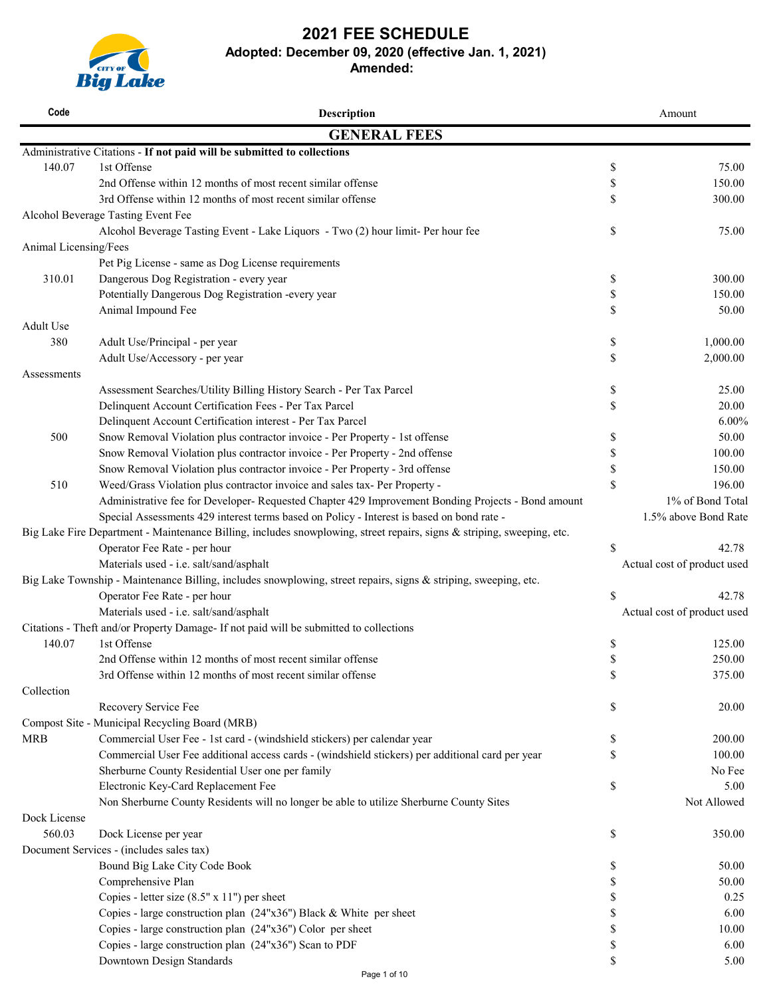

# **2021 FEE SCHEDULE**

**Adopted: December 09, 2020 (effective Jan. 1, 2021)**

**Amended:** 

| <b>GENERAL FEES</b><br>Administrative Citations - If not paid will be submitted to collections<br>1st Offense<br>140.07<br>\$<br>75.00<br>2nd Offense within 12 months of most recent similar offense<br>\$<br>150.00<br>3rd Offense within 12 months of most recent similar offense<br>\$<br>300.00<br>Alcohol Beverage Tasting Event Fee<br>Alcohol Beverage Tasting Event - Lake Liquors - Two (2) hour limit- Per hour fee<br>\$<br>75.00<br>Animal Licensing/Fees<br>Pet Pig License - same as Dog License requirements<br>Dangerous Dog Registration - every year<br>300.00<br>310.01<br>\$<br>Potentially Dangerous Dog Registration -every year<br>\$<br>150.00<br>Animal Impound Fee<br>\$<br>50.00<br>Adult Use<br>1,000.00<br>380<br>Adult Use/Principal - per year<br>\$<br>\$<br>2,000.00<br>Adult Use/Accessory - per year<br>Assessments<br>25.00<br>Assessment Searches/Utility Billing History Search - Per Tax Parcel<br>\$<br>Delinquent Account Certification Fees - Per Tax Parcel<br>\$<br>20.00<br>Delinquent Account Certification interest - Per Tax Parcel<br>$6.00\%$<br>500<br>Snow Removal Violation plus contractor invoice - Per Property - 1st offense<br>50.00<br>\$<br>Snow Removal Violation plus contractor invoice - Per Property - 2nd offense<br>100.00<br>\$<br>Snow Removal Violation plus contractor invoice - Per Property - 3rd offense<br>\$<br>150.00<br>\$<br>196.00<br>510<br>Weed/Grass Violation plus contractor invoice and sales tax- Per Property -<br>Administrative fee for Developer- Requested Chapter 429 Improvement Bonding Projects - Bond amount<br>Special Assessments 429 interest terms based on Policy - Interest is based on bond rate -<br>Big Lake Fire Department - Maintenance Billing, includes snowplowing, street repairs, signs & striping, sweeping, etc.<br>Operator Fee Rate - per hour<br>\$<br>42.78<br>Materials used - i.e. salt/sand/asphalt<br>Actual cost of product used<br>Big Lake Township - Maintenance Billing, includes snowplowing, street repairs, signs & striping, sweeping, etc.<br>Operator Fee Rate - per hour<br>\$<br>42.78<br>Materials used - i.e. salt/sand/asphalt<br>Actual cost of product used<br>Citations - Theft and/or Property Damage- If not paid will be submitted to collections<br>140.07<br>1st Offense<br>\$<br>125.00<br>\$<br>2nd Offense within 12 months of most recent similar offense<br>250.00<br>3rd Offense within 12 months of most recent similar offense<br>\$<br>375.00<br>Collection<br>Recovery Service Fee<br>\$<br>20.00<br>Compost Site - Municipal Recycling Board (MRB)<br>Commercial User Fee - 1st card - (windshield stickers) per calendar year<br><b>MRB</b><br>200.00<br>\$<br>Commercial User Fee additional access cards - (windshield stickers) per additional card per year<br>100.00<br>\$<br>Sherburne County Residential User one per family<br>No Fee<br>Electronic Key-Card Replacement Fee<br>\$<br>5.00<br>Non Sherburne County Residents will no longer be able to utilize Sherburne County Sites<br>Not Allowed<br>Dock License<br>560.03<br>Dock License per year<br>\$<br>350.00<br>Document Services - (includes sales tax)<br>Bound Big Lake City Code Book<br>50.00<br>\$<br>Comprehensive Plan<br>50.00<br>\$<br>Copies - letter size (8.5" x 11") per sheet<br>\$<br>0.25<br>Copies - large construction plan (24"x36") Black & White per sheet<br>6.00<br>Copies - large construction plan (24"x36") Color per sheet<br>10.00<br>\$<br>Copies - large construction plan (24"x36") Scan to PDF<br>\$<br>6.00<br>Downtown Design Standards<br>\$<br>5.00 | Code | <b>Description</b> | Amount               |
|------------------------------------------------------------------------------------------------------------------------------------------------------------------------------------------------------------------------------------------------------------------------------------------------------------------------------------------------------------------------------------------------------------------------------------------------------------------------------------------------------------------------------------------------------------------------------------------------------------------------------------------------------------------------------------------------------------------------------------------------------------------------------------------------------------------------------------------------------------------------------------------------------------------------------------------------------------------------------------------------------------------------------------------------------------------------------------------------------------------------------------------------------------------------------------------------------------------------------------------------------------------------------------------------------------------------------------------------------------------------------------------------------------------------------------------------------------------------------------------------------------------------------------------------------------------------------------------------------------------------------------------------------------------------------------------------------------------------------------------------------------------------------------------------------------------------------------------------------------------------------------------------------------------------------------------------------------------------------------------------------------------------------------------------------------------------------------------------------------------------------------------------------------------------------------------------------------------------------------------------------------------------------------------------------------------------------------------------------------------------------------------------------------------------------------------------------------------------------------------------------------------------------------------------------------------------------------------------------------------------------------------------------------------------------------------------------------------------------------------------------------------------------------------------------------------------------------------------------------------------------------------------------------------------------------------------------------------------------------------------------------------------------------------------------------------------------------------------------------------------------------------------------------------------------------------------------------------------------------------------------------------------------------------------------------------------------------------------------------------------------------------------------------------------------------------------------------------------------------------------------------------------------------------------------------------------------------------------------------------------------|------|--------------------|----------------------|
|                                                                                                                                                                                                                                                                                                                                                                                                                                                                                                                                                                                                                                                                                                                                                                                                                                                                                                                                                                                                                                                                                                                                                                                                                                                                                                                                                                                                                                                                                                                                                                                                                                                                                                                                                                                                                                                                                                                                                                                                                                                                                                                                                                                                                                                                                                                                                                                                                                                                                                                                                                                                                                                                                                                                                                                                                                                                                                                                                                                                                                                                                                                                                                                                                                                                                                                                                                                                                                                                                                                                                                                                                              |      |                    |                      |
|                                                                                                                                                                                                                                                                                                                                                                                                                                                                                                                                                                                                                                                                                                                                                                                                                                                                                                                                                                                                                                                                                                                                                                                                                                                                                                                                                                                                                                                                                                                                                                                                                                                                                                                                                                                                                                                                                                                                                                                                                                                                                                                                                                                                                                                                                                                                                                                                                                                                                                                                                                                                                                                                                                                                                                                                                                                                                                                                                                                                                                                                                                                                                                                                                                                                                                                                                                                                                                                                                                                                                                                                                              |      |                    |                      |
|                                                                                                                                                                                                                                                                                                                                                                                                                                                                                                                                                                                                                                                                                                                                                                                                                                                                                                                                                                                                                                                                                                                                                                                                                                                                                                                                                                                                                                                                                                                                                                                                                                                                                                                                                                                                                                                                                                                                                                                                                                                                                                                                                                                                                                                                                                                                                                                                                                                                                                                                                                                                                                                                                                                                                                                                                                                                                                                                                                                                                                                                                                                                                                                                                                                                                                                                                                                                                                                                                                                                                                                                                              |      |                    |                      |
|                                                                                                                                                                                                                                                                                                                                                                                                                                                                                                                                                                                                                                                                                                                                                                                                                                                                                                                                                                                                                                                                                                                                                                                                                                                                                                                                                                                                                                                                                                                                                                                                                                                                                                                                                                                                                                                                                                                                                                                                                                                                                                                                                                                                                                                                                                                                                                                                                                                                                                                                                                                                                                                                                                                                                                                                                                                                                                                                                                                                                                                                                                                                                                                                                                                                                                                                                                                                                                                                                                                                                                                                                              |      |                    |                      |
|                                                                                                                                                                                                                                                                                                                                                                                                                                                                                                                                                                                                                                                                                                                                                                                                                                                                                                                                                                                                                                                                                                                                                                                                                                                                                                                                                                                                                                                                                                                                                                                                                                                                                                                                                                                                                                                                                                                                                                                                                                                                                                                                                                                                                                                                                                                                                                                                                                                                                                                                                                                                                                                                                                                                                                                                                                                                                                                                                                                                                                                                                                                                                                                                                                                                                                                                                                                                                                                                                                                                                                                                                              |      |                    |                      |
|                                                                                                                                                                                                                                                                                                                                                                                                                                                                                                                                                                                                                                                                                                                                                                                                                                                                                                                                                                                                                                                                                                                                                                                                                                                                                                                                                                                                                                                                                                                                                                                                                                                                                                                                                                                                                                                                                                                                                                                                                                                                                                                                                                                                                                                                                                                                                                                                                                                                                                                                                                                                                                                                                                                                                                                                                                                                                                                                                                                                                                                                                                                                                                                                                                                                                                                                                                                                                                                                                                                                                                                                                              |      |                    |                      |
|                                                                                                                                                                                                                                                                                                                                                                                                                                                                                                                                                                                                                                                                                                                                                                                                                                                                                                                                                                                                                                                                                                                                                                                                                                                                                                                                                                                                                                                                                                                                                                                                                                                                                                                                                                                                                                                                                                                                                                                                                                                                                                                                                                                                                                                                                                                                                                                                                                                                                                                                                                                                                                                                                                                                                                                                                                                                                                                                                                                                                                                                                                                                                                                                                                                                                                                                                                                                                                                                                                                                                                                                                              |      |                    |                      |
|                                                                                                                                                                                                                                                                                                                                                                                                                                                                                                                                                                                                                                                                                                                                                                                                                                                                                                                                                                                                                                                                                                                                                                                                                                                                                                                                                                                                                                                                                                                                                                                                                                                                                                                                                                                                                                                                                                                                                                                                                                                                                                                                                                                                                                                                                                                                                                                                                                                                                                                                                                                                                                                                                                                                                                                                                                                                                                                                                                                                                                                                                                                                                                                                                                                                                                                                                                                                                                                                                                                                                                                                                              |      |                    |                      |
|                                                                                                                                                                                                                                                                                                                                                                                                                                                                                                                                                                                                                                                                                                                                                                                                                                                                                                                                                                                                                                                                                                                                                                                                                                                                                                                                                                                                                                                                                                                                                                                                                                                                                                                                                                                                                                                                                                                                                                                                                                                                                                                                                                                                                                                                                                                                                                                                                                                                                                                                                                                                                                                                                                                                                                                                                                                                                                                                                                                                                                                                                                                                                                                                                                                                                                                                                                                                                                                                                                                                                                                                                              |      |                    |                      |
|                                                                                                                                                                                                                                                                                                                                                                                                                                                                                                                                                                                                                                                                                                                                                                                                                                                                                                                                                                                                                                                                                                                                                                                                                                                                                                                                                                                                                                                                                                                                                                                                                                                                                                                                                                                                                                                                                                                                                                                                                                                                                                                                                                                                                                                                                                                                                                                                                                                                                                                                                                                                                                                                                                                                                                                                                                                                                                                                                                                                                                                                                                                                                                                                                                                                                                                                                                                                                                                                                                                                                                                                                              |      |                    |                      |
|                                                                                                                                                                                                                                                                                                                                                                                                                                                                                                                                                                                                                                                                                                                                                                                                                                                                                                                                                                                                                                                                                                                                                                                                                                                                                                                                                                                                                                                                                                                                                                                                                                                                                                                                                                                                                                                                                                                                                                                                                                                                                                                                                                                                                                                                                                                                                                                                                                                                                                                                                                                                                                                                                                                                                                                                                                                                                                                                                                                                                                                                                                                                                                                                                                                                                                                                                                                                                                                                                                                                                                                                                              |      |                    |                      |
|                                                                                                                                                                                                                                                                                                                                                                                                                                                                                                                                                                                                                                                                                                                                                                                                                                                                                                                                                                                                                                                                                                                                                                                                                                                                                                                                                                                                                                                                                                                                                                                                                                                                                                                                                                                                                                                                                                                                                                                                                                                                                                                                                                                                                                                                                                                                                                                                                                                                                                                                                                                                                                                                                                                                                                                                                                                                                                                                                                                                                                                                                                                                                                                                                                                                                                                                                                                                                                                                                                                                                                                                                              |      |                    |                      |
|                                                                                                                                                                                                                                                                                                                                                                                                                                                                                                                                                                                                                                                                                                                                                                                                                                                                                                                                                                                                                                                                                                                                                                                                                                                                                                                                                                                                                                                                                                                                                                                                                                                                                                                                                                                                                                                                                                                                                                                                                                                                                                                                                                                                                                                                                                                                                                                                                                                                                                                                                                                                                                                                                                                                                                                                                                                                                                                                                                                                                                                                                                                                                                                                                                                                                                                                                                                                                                                                                                                                                                                                                              |      |                    |                      |
|                                                                                                                                                                                                                                                                                                                                                                                                                                                                                                                                                                                                                                                                                                                                                                                                                                                                                                                                                                                                                                                                                                                                                                                                                                                                                                                                                                                                                                                                                                                                                                                                                                                                                                                                                                                                                                                                                                                                                                                                                                                                                                                                                                                                                                                                                                                                                                                                                                                                                                                                                                                                                                                                                                                                                                                                                                                                                                                                                                                                                                                                                                                                                                                                                                                                                                                                                                                                                                                                                                                                                                                                                              |      |                    |                      |
|                                                                                                                                                                                                                                                                                                                                                                                                                                                                                                                                                                                                                                                                                                                                                                                                                                                                                                                                                                                                                                                                                                                                                                                                                                                                                                                                                                                                                                                                                                                                                                                                                                                                                                                                                                                                                                                                                                                                                                                                                                                                                                                                                                                                                                                                                                                                                                                                                                                                                                                                                                                                                                                                                                                                                                                                                                                                                                                                                                                                                                                                                                                                                                                                                                                                                                                                                                                                                                                                                                                                                                                                                              |      |                    |                      |
|                                                                                                                                                                                                                                                                                                                                                                                                                                                                                                                                                                                                                                                                                                                                                                                                                                                                                                                                                                                                                                                                                                                                                                                                                                                                                                                                                                                                                                                                                                                                                                                                                                                                                                                                                                                                                                                                                                                                                                                                                                                                                                                                                                                                                                                                                                                                                                                                                                                                                                                                                                                                                                                                                                                                                                                                                                                                                                                                                                                                                                                                                                                                                                                                                                                                                                                                                                                                                                                                                                                                                                                                                              |      |                    |                      |
|                                                                                                                                                                                                                                                                                                                                                                                                                                                                                                                                                                                                                                                                                                                                                                                                                                                                                                                                                                                                                                                                                                                                                                                                                                                                                                                                                                                                                                                                                                                                                                                                                                                                                                                                                                                                                                                                                                                                                                                                                                                                                                                                                                                                                                                                                                                                                                                                                                                                                                                                                                                                                                                                                                                                                                                                                                                                                                                                                                                                                                                                                                                                                                                                                                                                                                                                                                                                                                                                                                                                                                                                                              |      |                    |                      |
|                                                                                                                                                                                                                                                                                                                                                                                                                                                                                                                                                                                                                                                                                                                                                                                                                                                                                                                                                                                                                                                                                                                                                                                                                                                                                                                                                                                                                                                                                                                                                                                                                                                                                                                                                                                                                                                                                                                                                                                                                                                                                                                                                                                                                                                                                                                                                                                                                                                                                                                                                                                                                                                                                                                                                                                                                                                                                                                                                                                                                                                                                                                                                                                                                                                                                                                                                                                                                                                                                                                                                                                                                              |      |                    |                      |
|                                                                                                                                                                                                                                                                                                                                                                                                                                                                                                                                                                                                                                                                                                                                                                                                                                                                                                                                                                                                                                                                                                                                                                                                                                                                                                                                                                                                                                                                                                                                                                                                                                                                                                                                                                                                                                                                                                                                                                                                                                                                                                                                                                                                                                                                                                                                                                                                                                                                                                                                                                                                                                                                                                                                                                                                                                                                                                                                                                                                                                                                                                                                                                                                                                                                                                                                                                                                                                                                                                                                                                                                                              |      |                    |                      |
|                                                                                                                                                                                                                                                                                                                                                                                                                                                                                                                                                                                                                                                                                                                                                                                                                                                                                                                                                                                                                                                                                                                                                                                                                                                                                                                                                                                                                                                                                                                                                                                                                                                                                                                                                                                                                                                                                                                                                                                                                                                                                                                                                                                                                                                                                                                                                                                                                                                                                                                                                                                                                                                                                                                                                                                                                                                                                                                                                                                                                                                                                                                                                                                                                                                                                                                                                                                                                                                                                                                                                                                                                              |      |                    |                      |
|                                                                                                                                                                                                                                                                                                                                                                                                                                                                                                                                                                                                                                                                                                                                                                                                                                                                                                                                                                                                                                                                                                                                                                                                                                                                                                                                                                                                                                                                                                                                                                                                                                                                                                                                                                                                                                                                                                                                                                                                                                                                                                                                                                                                                                                                                                                                                                                                                                                                                                                                                                                                                                                                                                                                                                                                                                                                                                                                                                                                                                                                                                                                                                                                                                                                                                                                                                                                                                                                                                                                                                                                                              |      |                    |                      |
|                                                                                                                                                                                                                                                                                                                                                                                                                                                                                                                                                                                                                                                                                                                                                                                                                                                                                                                                                                                                                                                                                                                                                                                                                                                                                                                                                                                                                                                                                                                                                                                                                                                                                                                                                                                                                                                                                                                                                                                                                                                                                                                                                                                                                                                                                                                                                                                                                                                                                                                                                                                                                                                                                                                                                                                                                                                                                                                                                                                                                                                                                                                                                                                                                                                                                                                                                                                                                                                                                                                                                                                                                              |      |                    |                      |
|                                                                                                                                                                                                                                                                                                                                                                                                                                                                                                                                                                                                                                                                                                                                                                                                                                                                                                                                                                                                                                                                                                                                                                                                                                                                                                                                                                                                                                                                                                                                                                                                                                                                                                                                                                                                                                                                                                                                                                                                                                                                                                                                                                                                                                                                                                                                                                                                                                                                                                                                                                                                                                                                                                                                                                                                                                                                                                                                                                                                                                                                                                                                                                                                                                                                                                                                                                                                                                                                                                                                                                                                                              |      |                    |                      |
|                                                                                                                                                                                                                                                                                                                                                                                                                                                                                                                                                                                                                                                                                                                                                                                                                                                                                                                                                                                                                                                                                                                                                                                                                                                                                                                                                                                                                                                                                                                                                                                                                                                                                                                                                                                                                                                                                                                                                                                                                                                                                                                                                                                                                                                                                                                                                                                                                                                                                                                                                                                                                                                                                                                                                                                                                                                                                                                                                                                                                                                                                                                                                                                                                                                                                                                                                                                                                                                                                                                                                                                                                              |      |                    | 1% of Bond Total     |
|                                                                                                                                                                                                                                                                                                                                                                                                                                                                                                                                                                                                                                                                                                                                                                                                                                                                                                                                                                                                                                                                                                                                                                                                                                                                                                                                                                                                                                                                                                                                                                                                                                                                                                                                                                                                                                                                                                                                                                                                                                                                                                                                                                                                                                                                                                                                                                                                                                                                                                                                                                                                                                                                                                                                                                                                                                                                                                                                                                                                                                                                                                                                                                                                                                                                                                                                                                                                                                                                                                                                                                                                                              |      |                    | 1.5% above Bond Rate |
|                                                                                                                                                                                                                                                                                                                                                                                                                                                                                                                                                                                                                                                                                                                                                                                                                                                                                                                                                                                                                                                                                                                                                                                                                                                                                                                                                                                                                                                                                                                                                                                                                                                                                                                                                                                                                                                                                                                                                                                                                                                                                                                                                                                                                                                                                                                                                                                                                                                                                                                                                                                                                                                                                                                                                                                                                                                                                                                                                                                                                                                                                                                                                                                                                                                                                                                                                                                                                                                                                                                                                                                                                              |      |                    |                      |
|                                                                                                                                                                                                                                                                                                                                                                                                                                                                                                                                                                                                                                                                                                                                                                                                                                                                                                                                                                                                                                                                                                                                                                                                                                                                                                                                                                                                                                                                                                                                                                                                                                                                                                                                                                                                                                                                                                                                                                                                                                                                                                                                                                                                                                                                                                                                                                                                                                                                                                                                                                                                                                                                                                                                                                                                                                                                                                                                                                                                                                                                                                                                                                                                                                                                                                                                                                                                                                                                                                                                                                                                                              |      |                    |                      |
|                                                                                                                                                                                                                                                                                                                                                                                                                                                                                                                                                                                                                                                                                                                                                                                                                                                                                                                                                                                                                                                                                                                                                                                                                                                                                                                                                                                                                                                                                                                                                                                                                                                                                                                                                                                                                                                                                                                                                                                                                                                                                                                                                                                                                                                                                                                                                                                                                                                                                                                                                                                                                                                                                                                                                                                                                                                                                                                                                                                                                                                                                                                                                                                                                                                                                                                                                                                                                                                                                                                                                                                                                              |      |                    |                      |
|                                                                                                                                                                                                                                                                                                                                                                                                                                                                                                                                                                                                                                                                                                                                                                                                                                                                                                                                                                                                                                                                                                                                                                                                                                                                                                                                                                                                                                                                                                                                                                                                                                                                                                                                                                                                                                                                                                                                                                                                                                                                                                                                                                                                                                                                                                                                                                                                                                                                                                                                                                                                                                                                                                                                                                                                                                                                                                                                                                                                                                                                                                                                                                                                                                                                                                                                                                                                                                                                                                                                                                                                                              |      |                    |                      |
|                                                                                                                                                                                                                                                                                                                                                                                                                                                                                                                                                                                                                                                                                                                                                                                                                                                                                                                                                                                                                                                                                                                                                                                                                                                                                                                                                                                                                                                                                                                                                                                                                                                                                                                                                                                                                                                                                                                                                                                                                                                                                                                                                                                                                                                                                                                                                                                                                                                                                                                                                                                                                                                                                                                                                                                                                                                                                                                                                                                                                                                                                                                                                                                                                                                                                                                                                                                                                                                                                                                                                                                                                              |      |                    |                      |
|                                                                                                                                                                                                                                                                                                                                                                                                                                                                                                                                                                                                                                                                                                                                                                                                                                                                                                                                                                                                                                                                                                                                                                                                                                                                                                                                                                                                                                                                                                                                                                                                                                                                                                                                                                                                                                                                                                                                                                                                                                                                                                                                                                                                                                                                                                                                                                                                                                                                                                                                                                                                                                                                                                                                                                                                                                                                                                                                                                                                                                                                                                                                                                                                                                                                                                                                                                                                                                                                                                                                                                                                                              |      |                    |                      |
|                                                                                                                                                                                                                                                                                                                                                                                                                                                                                                                                                                                                                                                                                                                                                                                                                                                                                                                                                                                                                                                                                                                                                                                                                                                                                                                                                                                                                                                                                                                                                                                                                                                                                                                                                                                                                                                                                                                                                                                                                                                                                                                                                                                                                                                                                                                                                                                                                                                                                                                                                                                                                                                                                                                                                                                                                                                                                                                                                                                                                                                                                                                                                                                                                                                                                                                                                                                                                                                                                                                                                                                                                              |      |                    |                      |
|                                                                                                                                                                                                                                                                                                                                                                                                                                                                                                                                                                                                                                                                                                                                                                                                                                                                                                                                                                                                                                                                                                                                                                                                                                                                                                                                                                                                                                                                                                                                                                                                                                                                                                                                                                                                                                                                                                                                                                                                                                                                                                                                                                                                                                                                                                                                                                                                                                                                                                                                                                                                                                                                                                                                                                                                                                                                                                                                                                                                                                                                                                                                                                                                                                                                                                                                                                                                                                                                                                                                                                                                                              |      |                    |                      |
|                                                                                                                                                                                                                                                                                                                                                                                                                                                                                                                                                                                                                                                                                                                                                                                                                                                                                                                                                                                                                                                                                                                                                                                                                                                                                                                                                                                                                                                                                                                                                                                                                                                                                                                                                                                                                                                                                                                                                                                                                                                                                                                                                                                                                                                                                                                                                                                                                                                                                                                                                                                                                                                                                                                                                                                                                                                                                                                                                                                                                                                                                                                                                                                                                                                                                                                                                                                                                                                                                                                                                                                                                              |      |                    |                      |
|                                                                                                                                                                                                                                                                                                                                                                                                                                                                                                                                                                                                                                                                                                                                                                                                                                                                                                                                                                                                                                                                                                                                                                                                                                                                                                                                                                                                                                                                                                                                                                                                                                                                                                                                                                                                                                                                                                                                                                                                                                                                                                                                                                                                                                                                                                                                                                                                                                                                                                                                                                                                                                                                                                                                                                                                                                                                                                                                                                                                                                                                                                                                                                                                                                                                                                                                                                                                                                                                                                                                                                                                                              |      |                    |                      |
|                                                                                                                                                                                                                                                                                                                                                                                                                                                                                                                                                                                                                                                                                                                                                                                                                                                                                                                                                                                                                                                                                                                                                                                                                                                                                                                                                                                                                                                                                                                                                                                                                                                                                                                                                                                                                                                                                                                                                                                                                                                                                                                                                                                                                                                                                                                                                                                                                                                                                                                                                                                                                                                                                                                                                                                                                                                                                                                                                                                                                                                                                                                                                                                                                                                                                                                                                                                                                                                                                                                                                                                                                              |      |                    |                      |
|                                                                                                                                                                                                                                                                                                                                                                                                                                                                                                                                                                                                                                                                                                                                                                                                                                                                                                                                                                                                                                                                                                                                                                                                                                                                                                                                                                                                                                                                                                                                                                                                                                                                                                                                                                                                                                                                                                                                                                                                                                                                                                                                                                                                                                                                                                                                                                                                                                                                                                                                                                                                                                                                                                                                                                                                                                                                                                                                                                                                                                                                                                                                                                                                                                                                                                                                                                                                                                                                                                                                                                                                                              |      |                    |                      |
|                                                                                                                                                                                                                                                                                                                                                                                                                                                                                                                                                                                                                                                                                                                                                                                                                                                                                                                                                                                                                                                                                                                                                                                                                                                                                                                                                                                                                                                                                                                                                                                                                                                                                                                                                                                                                                                                                                                                                                                                                                                                                                                                                                                                                                                                                                                                                                                                                                                                                                                                                                                                                                                                                                                                                                                                                                                                                                                                                                                                                                                                                                                                                                                                                                                                                                                                                                                                                                                                                                                                                                                                                              |      |                    |                      |
|                                                                                                                                                                                                                                                                                                                                                                                                                                                                                                                                                                                                                                                                                                                                                                                                                                                                                                                                                                                                                                                                                                                                                                                                                                                                                                                                                                                                                                                                                                                                                                                                                                                                                                                                                                                                                                                                                                                                                                                                                                                                                                                                                                                                                                                                                                                                                                                                                                                                                                                                                                                                                                                                                                                                                                                                                                                                                                                                                                                                                                                                                                                                                                                                                                                                                                                                                                                                                                                                                                                                                                                                                              |      |                    |                      |
|                                                                                                                                                                                                                                                                                                                                                                                                                                                                                                                                                                                                                                                                                                                                                                                                                                                                                                                                                                                                                                                                                                                                                                                                                                                                                                                                                                                                                                                                                                                                                                                                                                                                                                                                                                                                                                                                                                                                                                                                                                                                                                                                                                                                                                                                                                                                                                                                                                                                                                                                                                                                                                                                                                                                                                                                                                                                                                                                                                                                                                                                                                                                                                                                                                                                                                                                                                                                                                                                                                                                                                                                                              |      |                    |                      |
|                                                                                                                                                                                                                                                                                                                                                                                                                                                                                                                                                                                                                                                                                                                                                                                                                                                                                                                                                                                                                                                                                                                                                                                                                                                                                                                                                                                                                                                                                                                                                                                                                                                                                                                                                                                                                                                                                                                                                                                                                                                                                                                                                                                                                                                                                                                                                                                                                                                                                                                                                                                                                                                                                                                                                                                                                                                                                                                                                                                                                                                                                                                                                                                                                                                                                                                                                                                                                                                                                                                                                                                                                              |      |                    |                      |
|                                                                                                                                                                                                                                                                                                                                                                                                                                                                                                                                                                                                                                                                                                                                                                                                                                                                                                                                                                                                                                                                                                                                                                                                                                                                                                                                                                                                                                                                                                                                                                                                                                                                                                                                                                                                                                                                                                                                                                                                                                                                                                                                                                                                                                                                                                                                                                                                                                                                                                                                                                                                                                                                                                                                                                                                                                                                                                                                                                                                                                                                                                                                                                                                                                                                                                                                                                                                                                                                                                                                                                                                                              |      |                    |                      |
|                                                                                                                                                                                                                                                                                                                                                                                                                                                                                                                                                                                                                                                                                                                                                                                                                                                                                                                                                                                                                                                                                                                                                                                                                                                                                                                                                                                                                                                                                                                                                                                                                                                                                                                                                                                                                                                                                                                                                                                                                                                                                                                                                                                                                                                                                                                                                                                                                                                                                                                                                                                                                                                                                                                                                                                                                                                                                                                                                                                                                                                                                                                                                                                                                                                                                                                                                                                                                                                                                                                                                                                                                              |      |                    |                      |
|                                                                                                                                                                                                                                                                                                                                                                                                                                                                                                                                                                                                                                                                                                                                                                                                                                                                                                                                                                                                                                                                                                                                                                                                                                                                                                                                                                                                                                                                                                                                                                                                                                                                                                                                                                                                                                                                                                                                                                                                                                                                                                                                                                                                                                                                                                                                                                                                                                                                                                                                                                                                                                                                                                                                                                                                                                                                                                                                                                                                                                                                                                                                                                                                                                                                                                                                                                                                                                                                                                                                                                                                                              |      |                    |                      |
|                                                                                                                                                                                                                                                                                                                                                                                                                                                                                                                                                                                                                                                                                                                                                                                                                                                                                                                                                                                                                                                                                                                                                                                                                                                                                                                                                                                                                                                                                                                                                                                                                                                                                                                                                                                                                                                                                                                                                                                                                                                                                                                                                                                                                                                                                                                                                                                                                                                                                                                                                                                                                                                                                                                                                                                                                                                                                                                                                                                                                                                                                                                                                                                                                                                                                                                                                                                                                                                                                                                                                                                                                              |      |                    |                      |
|                                                                                                                                                                                                                                                                                                                                                                                                                                                                                                                                                                                                                                                                                                                                                                                                                                                                                                                                                                                                                                                                                                                                                                                                                                                                                                                                                                                                                                                                                                                                                                                                                                                                                                                                                                                                                                                                                                                                                                                                                                                                                                                                                                                                                                                                                                                                                                                                                                                                                                                                                                                                                                                                                                                                                                                                                                                                                                                                                                                                                                                                                                                                                                                                                                                                                                                                                                                                                                                                                                                                                                                                                              |      |                    |                      |
|                                                                                                                                                                                                                                                                                                                                                                                                                                                                                                                                                                                                                                                                                                                                                                                                                                                                                                                                                                                                                                                                                                                                                                                                                                                                                                                                                                                                                                                                                                                                                                                                                                                                                                                                                                                                                                                                                                                                                                                                                                                                                                                                                                                                                                                                                                                                                                                                                                                                                                                                                                                                                                                                                                                                                                                                                                                                                                                                                                                                                                                                                                                                                                                                                                                                                                                                                                                                                                                                                                                                                                                                                              |      |                    |                      |
|                                                                                                                                                                                                                                                                                                                                                                                                                                                                                                                                                                                                                                                                                                                                                                                                                                                                                                                                                                                                                                                                                                                                                                                                                                                                                                                                                                                                                                                                                                                                                                                                                                                                                                                                                                                                                                                                                                                                                                                                                                                                                                                                                                                                                                                                                                                                                                                                                                                                                                                                                                                                                                                                                                                                                                                                                                                                                                                                                                                                                                                                                                                                                                                                                                                                                                                                                                                                                                                                                                                                                                                                                              |      |                    |                      |
|                                                                                                                                                                                                                                                                                                                                                                                                                                                                                                                                                                                                                                                                                                                                                                                                                                                                                                                                                                                                                                                                                                                                                                                                                                                                                                                                                                                                                                                                                                                                                                                                                                                                                                                                                                                                                                                                                                                                                                                                                                                                                                                                                                                                                                                                                                                                                                                                                                                                                                                                                                                                                                                                                                                                                                                                                                                                                                                                                                                                                                                                                                                                                                                                                                                                                                                                                                                                                                                                                                                                                                                                                              |      |                    |                      |
|                                                                                                                                                                                                                                                                                                                                                                                                                                                                                                                                                                                                                                                                                                                                                                                                                                                                                                                                                                                                                                                                                                                                                                                                                                                                                                                                                                                                                                                                                                                                                                                                                                                                                                                                                                                                                                                                                                                                                                                                                                                                                                                                                                                                                                                                                                                                                                                                                                                                                                                                                                                                                                                                                                                                                                                                                                                                                                                                                                                                                                                                                                                                                                                                                                                                                                                                                                                                                                                                                                                                                                                                                              |      |                    |                      |
|                                                                                                                                                                                                                                                                                                                                                                                                                                                                                                                                                                                                                                                                                                                                                                                                                                                                                                                                                                                                                                                                                                                                                                                                                                                                                                                                                                                                                                                                                                                                                                                                                                                                                                                                                                                                                                                                                                                                                                                                                                                                                                                                                                                                                                                                                                                                                                                                                                                                                                                                                                                                                                                                                                                                                                                                                                                                                                                                                                                                                                                                                                                                                                                                                                                                                                                                                                                                                                                                                                                                                                                                                              |      |                    |                      |
|                                                                                                                                                                                                                                                                                                                                                                                                                                                                                                                                                                                                                                                                                                                                                                                                                                                                                                                                                                                                                                                                                                                                                                                                                                                                                                                                                                                                                                                                                                                                                                                                                                                                                                                                                                                                                                                                                                                                                                                                                                                                                                                                                                                                                                                                                                                                                                                                                                                                                                                                                                                                                                                                                                                                                                                                                                                                                                                                                                                                                                                                                                                                                                                                                                                                                                                                                                                                                                                                                                                                                                                                                              |      |                    |                      |
|                                                                                                                                                                                                                                                                                                                                                                                                                                                                                                                                                                                                                                                                                                                                                                                                                                                                                                                                                                                                                                                                                                                                                                                                                                                                                                                                                                                                                                                                                                                                                                                                                                                                                                                                                                                                                                                                                                                                                                                                                                                                                                                                                                                                                                                                                                                                                                                                                                                                                                                                                                                                                                                                                                                                                                                                                                                                                                                                                                                                                                                                                                                                                                                                                                                                                                                                                                                                                                                                                                                                                                                                                              |      |                    |                      |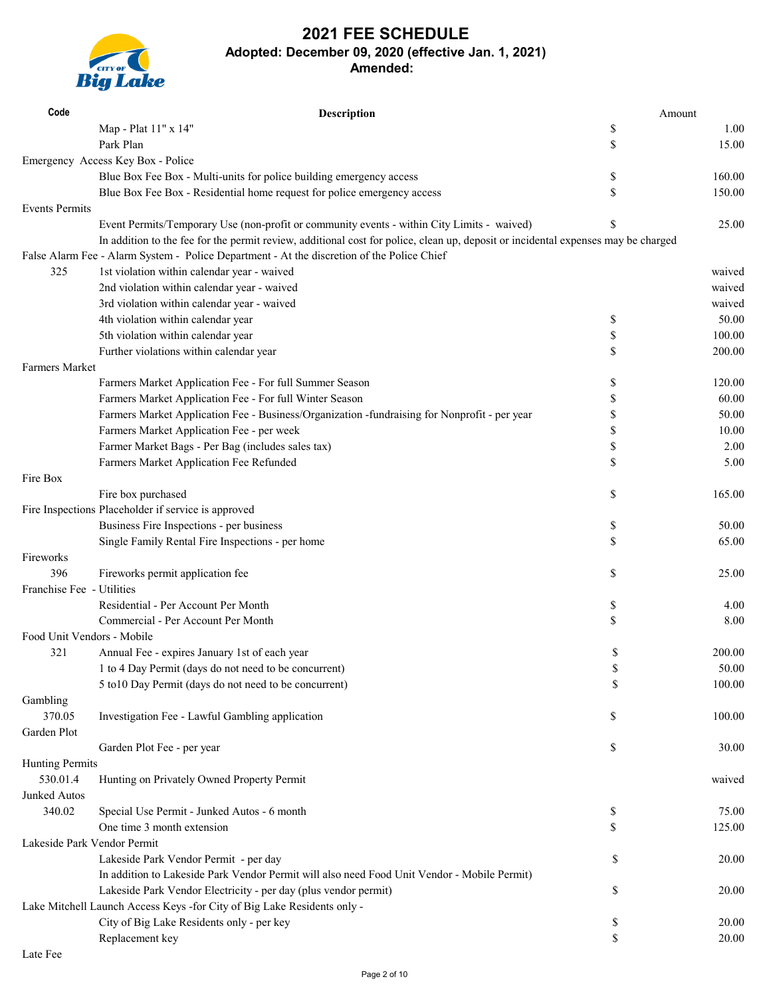

| Code                        | <b>Description</b>                                                                                                                | Amount       |
|-----------------------------|-----------------------------------------------------------------------------------------------------------------------------------|--------------|
|                             | Map - Plat 11" x 14"                                                                                                              | \$<br>1.00   |
|                             | Park Plan                                                                                                                         | \$<br>15.00  |
|                             | Emergency Access Key Box - Police                                                                                                 |              |
|                             | Blue Box Fee Box - Multi-units for police building emergency access                                                               | \$<br>160.00 |
|                             | Blue Box Fee Box - Residential home request for police emergency access                                                           | \$<br>150.00 |
| <b>Events Permits</b>       |                                                                                                                                   |              |
|                             | Event Permits/Temporary Use (non-profit or community events - within City Limits - waived)                                        | \$<br>25.00  |
|                             | In addition to the fee for the permit review, additional cost for police, clean up, deposit or incidental expenses may be charged |              |
|                             | False Alarm Fee - Alarm System - Police Department - At the discretion of the Police Chief                                        |              |
| 325                         | 1st violation within calendar year - waived                                                                                       | waived       |
|                             | 2nd violation within calendar year - waived                                                                                       | waived       |
|                             | 3rd violation within calendar year - waived                                                                                       | waived       |
|                             | 4th violation within calendar year                                                                                                | \$<br>50.00  |
|                             | 5th violation within calendar year                                                                                                | \$<br>100.00 |
|                             | Further violations within calendar year                                                                                           | \$<br>200.00 |
| <b>Farmers Market</b>       |                                                                                                                                   |              |
|                             | Farmers Market Application Fee - For full Summer Season                                                                           | \$<br>120.00 |
|                             | Farmers Market Application Fee - For full Winter Season                                                                           | \$<br>60.00  |
|                             | Farmers Market Application Fee - Business/Organization -fundraising for Nonprofit - per year                                      | \$<br>50.00  |
|                             | Farmers Market Application Fee - per week                                                                                         | \$<br>10.00  |
|                             | Farmer Market Bags - Per Bag (includes sales tax)                                                                                 | \$<br>2.00   |
|                             | Farmers Market Application Fee Refunded                                                                                           | \$<br>5.00   |
| Fire Box                    |                                                                                                                                   |              |
|                             | Fire box purchased                                                                                                                | \$<br>165.00 |
|                             | Fire Inspections Placeholder if service is approved                                                                               |              |
|                             | Business Fire Inspections - per business                                                                                          | \$<br>50.00  |
|                             | Single Family Rental Fire Inspections - per home                                                                                  | \$<br>65.00  |
| Fireworks                   |                                                                                                                                   |              |
| 396                         | Fireworks permit application fee                                                                                                  | \$<br>25.00  |
| Franchise Fee - Utilities   |                                                                                                                                   |              |
|                             | Residential - Per Account Per Month                                                                                               | \$<br>4.00   |
|                             | Commercial - Per Account Per Month                                                                                                | \$<br>8.00   |
| Food Unit Vendors - Mobile  |                                                                                                                                   |              |
| 321                         | Annual Fee - expires January 1st of each year                                                                                     | \$<br>200.00 |
|                             | 1 to 4 Day Permit (days do not need to be concurrent)                                                                             | \$<br>50.00  |
|                             | 5 to 10 Day Permit (days do not need to be concurrent)                                                                            | \$<br>100.00 |
| Gambling                    |                                                                                                                                   |              |
| 370.05                      | Investigation Fee - Lawful Gambling application                                                                                   | \$<br>100.00 |
| Garden Plot                 |                                                                                                                                   |              |
|                             | Garden Plot Fee - per year                                                                                                        | \$<br>30.00  |
| <b>Hunting Permits</b>      |                                                                                                                                   |              |
| 530.01.4                    | Hunting on Privately Owned Property Permit                                                                                        | waived       |
| Junked Autos                |                                                                                                                                   |              |
| 340.02                      | Special Use Permit - Junked Autos - 6 month                                                                                       | \$<br>75.00  |
|                             | One time 3 month extension                                                                                                        | \$<br>125.00 |
| Lakeside Park Vendor Permit |                                                                                                                                   |              |
|                             | Lakeside Park Vendor Permit - per day                                                                                             | \$<br>20.00  |
|                             | In addition to Lakeside Park Vendor Permit will also need Food Unit Vendor - Mobile Permit)                                       |              |
|                             | Lakeside Park Vendor Electricity - per day (plus vendor permit)                                                                   | \$<br>20.00  |
|                             | Lake Mitchell Launch Access Keys -for City of Big Lake Residents only -                                                           |              |
|                             | City of Big Lake Residents only - per key                                                                                         | \$<br>20.00  |
|                             | Replacement key                                                                                                                   | \$<br>20.00  |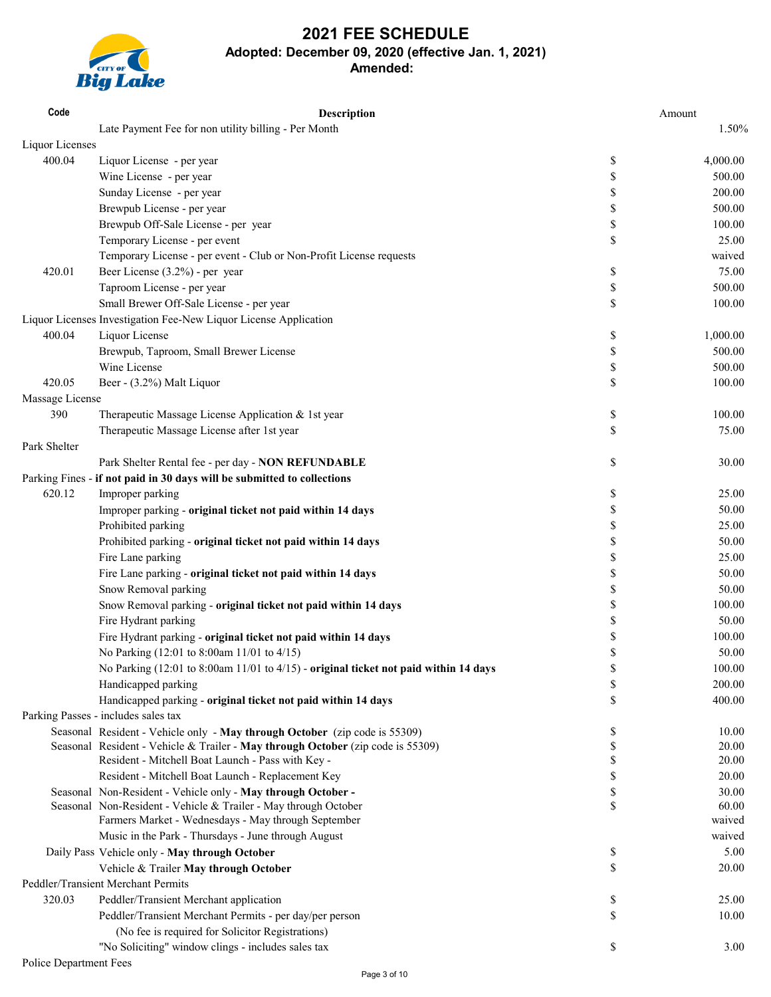

| Code            | Description                                                                          | Amount         |
|-----------------|--------------------------------------------------------------------------------------|----------------|
|                 | Late Payment Fee for non utility billing - Per Month                                 | 1.50%          |
| Liquor Licenses |                                                                                      |                |
| 400.04          | Liquor License - per year                                                            | \$<br>4,000.00 |
|                 | Wine License - per year                                                              | \$<br>500.00   |
|                 | Sunday License - per year                                                            | \$<br>200.00   |
|                 | Brewpub License - per year                                                           | \$<br>500.00   |
|                 | Brewpub Off-Sale License - per year                                                  | \$<br>100.00   |
|                 | Temporary License - per event                                                        | \$<br>25.00    |
|                 | Temporary License - per event - Club or Non-Profit License requests                  | waived         |
| 420.01          | Beer License (3.2%) - per year                                                       | \$<br>75.00    |
|                 | Taproom License - per year                                                           | \$<br>500.00   |
|                 | Small Brewer Off-Sale License - per year                                             | \$<br>100.00   |
|                 | Liquor Licenses Investigation Fee-New Liquor License Application                     |                |
| 400.04          | Liquor License                                                                       | 1,000.00       |
|                 |                                                                                      | \$<br>500.00   |
|                 | Brewpub, Taproom, Small Brewer License                                               | \$             |
|                 | Wine License                                                                         | \$<br>500.00   |
| 420.05          | Beer - (3.2%) Malt Liquor                                                            | \$<br>100.00   |
| Massage License |                                                                                      |                |
| 390             | Therapeutic Massage License Application & 1st year                                   | \$<br>100.00   |
|                 | Therapeutic Massage License after 1st year                                           | \$<br>75.00    |
| Park Shelter    |                                                                                      |                |
|                 | Park Shelter Rental fee - per day - NON REFUNDABLE                                   | \$<br>30.00    |
|                 | Parking Fines - if not paid in 30 days will be submitted to collections              |                |
| 620.12          | Improper parking                                                                     | \$<br>25.00    |
|                 | Improper parking - original ticket not paid within 14 days                           | \$<br>50.00    |
|                 | Prohibited parking                                                                   | \$<br>25.00    |
|                 | Prohibited parking - original ticket not paid within 14 days                         | \$<br>50.00    |
|                 | Fire Lane parking                                                                    | \$<br>25.00    |
|                 | Fire Lane parking - original ticket not paid within 14 days                          | \$<br>50.00    |
|                 | Snow Removal parking                                                                 | \$<br>50.00    |
|                 | Snow Removal parking - original ticket not paid within 14 days                       | \$<br>100.00   |
|                 | Fire Hydrant parking                                                                 | \$<br>50.00    |
|                 | Fire Hydrant parking - original ticket not paid within 14 days                       | \$<br>100.00   |
|                 | No Parking (12:01 to 8:00am 11/01 to 4/15)                                           | \$<br>50.00    |
|                 | No Parking (12:01 to 8:00am 11/01 to 4/15) - original ticket not paid within 14 days | \$<br>100.00   |
|                 | Handicapped parking                                                                  | \$<br>200.00   |
|                 | Handicapped parking - original ticket not paid within 14 days                        | \$<br>400.00   |
|                 | Parking Passes - includes sales tax                                                  |                |
|                 | Seasonal Resident - Vehicle only - May through October (zip code is 55309)           | \$<br>10.00    |
|                 | Seasonal Resident - Vehicle & Trailer - May through October (zip code is 55309)      | \$<br>20.00    |
|                 | Resident - Mitchell Boat Launch - Pass with Key -                                    | \$<br>20.00    |
|                 | Resident - Mitchell Boat Launch - Replacement Key                                    | \$<br>20.00    |
|                 | Seasonal Non-Resident - Vehicle only - May through October -                         | \$<br>30.00    |
|                 | Seasonal Non-Resident - Vehicle & Trailer - May through October                      | \$<br>60.00    |
|                 | Farmers Market - Wednesdays - May through September                                  | waived         |
|                 | Music in the Park - Thursdays - June through August                                  | waived         |
|                 | Daily Pass Vehicle only - May through October                                        | \$<br>5.00     |
|                 | Vehicle & Trailer May through October                                                | \$<br>20.00    |
|                 | Peddler/Transient Merchant Permits                                                   |                |
| 320.03          | Peddler/Transient Merchant application                                               | \$<br>25.00    |
|                 | Peddler/Transient Merchant Permits - per day/per person                              | \$<br>10.00    |
|                 | (No fee is required for Solicitor Registrations)                                     |                |
|                 | "No Soliciting" window clings - includes sales tax                                   | \$<br>3.00     |
|                 |                                                                                      |                |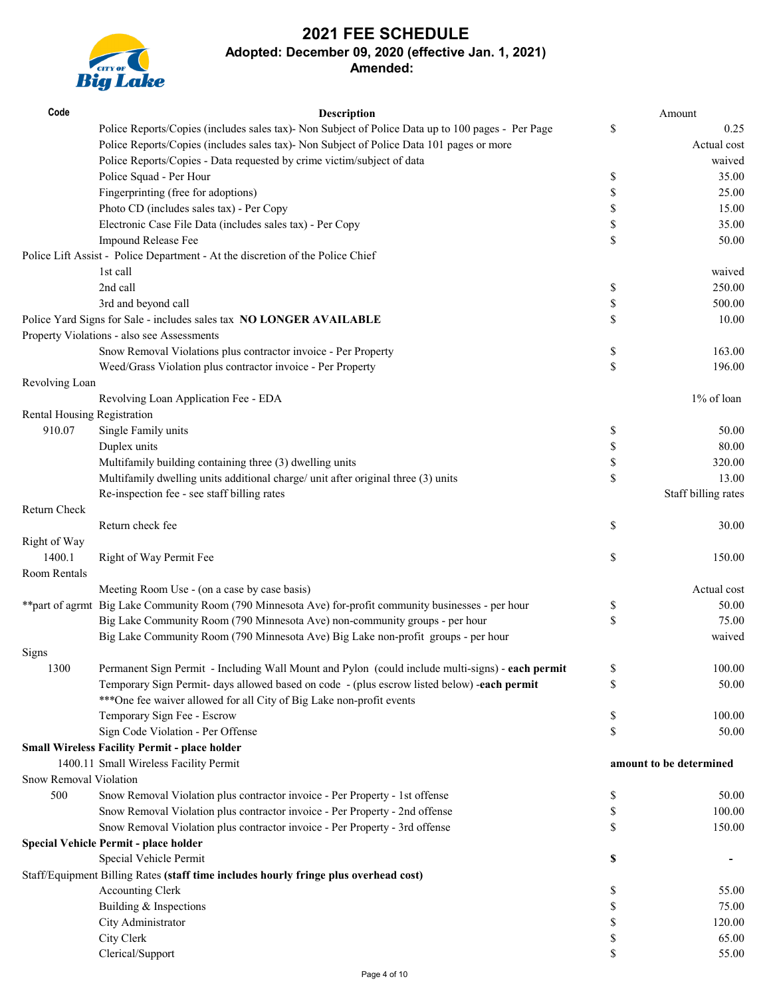# **2021 FEE SCHEDULE**



| Code                        | <b>Description</b>                                                                                                                                               |                           | Amount                  |
|-----------------------------|------------------------------------------------------------------------------------------------------------------------------------------------------------------|---------------------------|-------------------------|
|                             | Police Reports/Copies (includes sales tax)- Non Subject of Police Data up to 100 pages - Per Page                                                                | $\$$                      | 0.25                    |
|                             | Police Reports/Copies (includes sales tax)- Non Subject of Police Data 101 pages or more                                                                         |                           | Actual cost             |
|                             | Police Reports/Copies - Data requested by crime victim/subject of data                                                                                           |                           | waived                  |
|                             | Police Squad - Per Hour                                                                                                                                          | \$                        | 35.00                   |
|                             | Fingerprinting (free for adoptions)                                                                                                                              | \$                        | 25.00                   |
|                             | Photo CD (includes sales tax) - Per Copy                                                                                                                         | \$                        | 15.00                   |
|                             | Electronic Case File Data (includes sales tax) - Per Copy                                                                                                        | \$                        | 35.00                   |
|                             | Impound Release Fee                                                                                                                                              | \$                        | 50.00                   |
|                             | Police Lift Assist - Police Department - At the discretion of the Police Chief                                                                                   |                           |                         |
|                             | 1st call                                                                                                                                                         |                           | waived                  |
|                             | 2nd call                                                                                                                                                         | \$                        | 250.00                  |
|                             | 3rd and beyond call                                                                                                                                              | \$                        | 500.00                  |
|                             | Police Yard Signs for Sale - includes sales tax NO LONGER AVAILABLE                                                                                              | \$                        | 10.00                   |
|                             | Property Violations - also see Assessments                                                                                                                       |                           |                         |
|                             | Snow Removal Violations plus contractor invoice - Per Property                                                                                                   | \$                        | 163.00                  |
|                             | Weed/Grass Violation plus contractor invoice - Per Property                                                                                                      | $\boldsymbol{\mathsf{S}}$ | 196.00                  |
| Revolving Loan              |                                                                                                                                                                  |                           |                         |
|                             | Revolving Loan Application Fee - EDA                                                                                                                             |                           | 1% of loan              |
| Rental Housing Registration |                                                                                                                                                                  |                           |                         |
| 910.07                      | Single Family units                                                                                                                                              | \$                        | 50.00                   |
|                             | Duplex units                                                                                                                                                     | \$                        | 80.00                   |
|                             | Multifamily building containing three (3) dwelling units                                                                                                         | \$                        | 320.00                  |
|                             | Multifamily dwelling units additional charge/ unit after original three (3) units                                                                                | \$                        | 13.00                   |
|                             | Re-inspection fee - see staff billing rates                                                                                                                      |                           | Staff billing rates     |
| Return Check                |                                                                                                                                                                  |                           |                         |
|                             | Return check fee                                                                                                                                                 | \$                        | 30.00                   |
| Right of Way                |                                                                                                                                                                  |                           |                         |
| 1400.1                      | Right of Way Permit Fee                                                                                                                                          | \$                        | 150.00                  |
| Room Rentals                |                                                                                                                                                                  |                           |                         |
|                             | Meeting Room Use - (on a case by case basis)                                                                                                                     |                           | Actual cost             |
|                             | ** part of agrmt Big Lake Community Room (790 Minnesota Ave) for-profit community businesses - per hour                                                          | \$<br>\$                  | 50.00<br>75.00          |
|                             | Big Lake Community Room (790 Minnesota Ave) non-community groups - per hour<br>Big Lake Community Room (790 Minnesota Ave) Big Lake non-profit groups - per hour |                           |                         |
|                             |                                                                                                                                                                  |                           | waived                  |
| Signs                       | Permanent Sign Permit - Including Wall Mount and Pylon (could include multi-signs) - each permit                                                                 |                           | 100.00                  |
| 1300                        | Temporary Sign Permit- days allowed based on code - (plus escrow listed below) -each permit                                                                      | \$<br>\$                  | 50.00                   |
|                             | *** One fee waiver allowed for all City of Big Lake non-profit events                                                                                            |                           |                         |
|                             | Temporary Sign Fee - Escrow                                                                                                                                      | \$                        | 100.00                  |
|                             | Sign Code Violation - Per Offense                                                                                                                                | \$                        | 50.00                   |
|                             | <b>Small Wireless Facility Permit - place holder</b>                                                                                                             |                           |                         |
|                             | 1400.11 Small Wireless Facility Permit                                                                                                                           |                           | amount to be determined |
| Snow Removal Violation      |                                                                                                                                                                  |                           |                         |
| 500                         | Snow Removal Violation plus contractor invoice - Per Property - 1st offense                                                                                      | \$                        | 50.00                   |
|                             | Snow Removal Violation plus contractor invoice - Per Property - 2nd offense                                                                                      | \$                        | 100.00                  |
|                             | Snow Removal Violation plus contractor invoice - Per Property - 3rd offense                                                                                      | \$                        | 150.00                  |
|                             | Special Vehicle Permit - place holder                                                                                                                            |                           |                         |
|                             | Special Vehicle Permit                                                                                                                                           | \$                        |                         |
|                             | Staff/Equipment Billing Rates (staff time includes hourly fringe plus overhead cost)                                                                             |                           |                         |
|                             | Accounting Clerk                                                                                                                                                 | \$                        | 55.00                   |
|                             | Building & Inspections                                                                                                                                           | \$                        | 75.00                   |
|                             | City Administrator                                                                                                                                               | \$                        | 120.00                  |
|                             | City Clerk                                                                                                                                                       | \$                        | 65.00                   |
|                             | Clerical/Support                                                                                                                                                 | \$                        | 55.00                   |
|                             |                                                                                                                                                                  |                           |                         |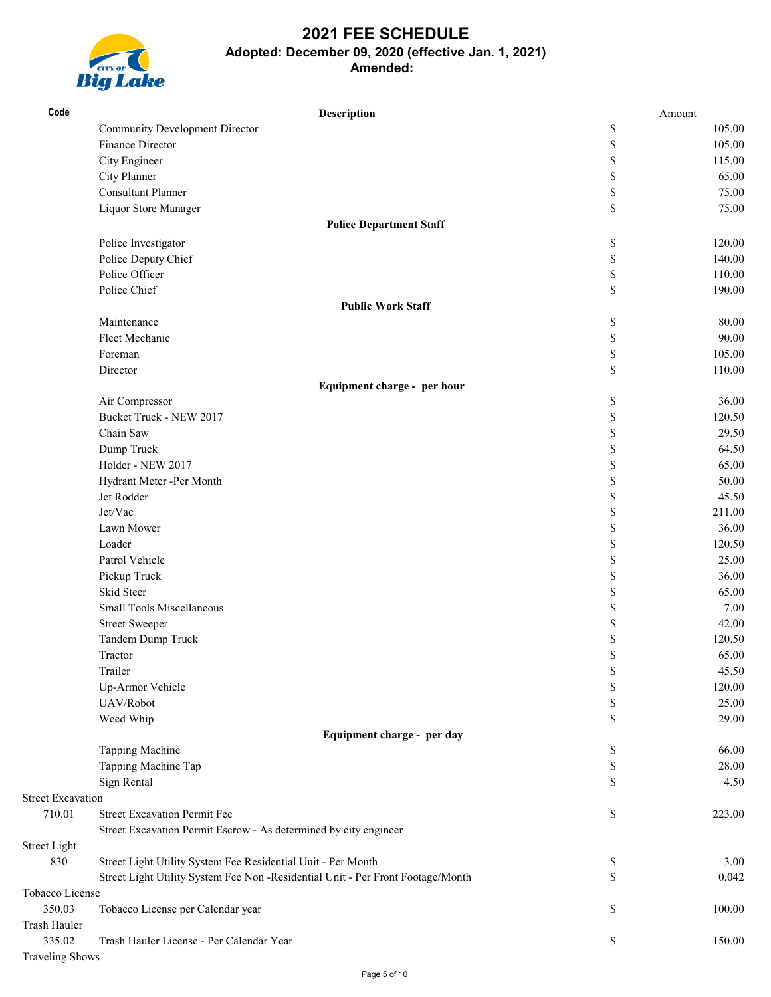

| Community Development Director<br>\$<br>105.00<br>Finance Director<br>\$<br>105.00<br>City Engineer<br>\$<br>115.00<br>City Planner<br>\$<br>65.00<br><b>Consultant Planner</b><br>$\mathbb{S}% _{t}\left( t\right) \equiv\mathbb{S}_{t}\left( t\right)$<br>75.00<br>Liquor Store Manager<br>\$<br>75.00<br><b>Police Department Staff</b><br>\$<br>120.00<br>Police Investigator<br>$\mathbb{S}% _{t}\left( t\right) \equiv\mathbb{S}_{t}\left( t\right)$<br>Police Deputy Chief<br>140.00<br>Police Officer<br>\$<br>110.00<br>Police Chief<br>\$<br>190.00<br><b>Public Work Staff</b><br>Maintenance<br>\$<br>80.00<br>Fleet Mechanic<br>$\mathbb{S}% _{t}\left( t\right) \equiv\mathbb{S}_{t}\left( t\right)$<br>90.00<br>$\mathbb{S}% _{t}\left( t\right) \equiv\mathbb{S}_{t}\left( t\right)$<br>Foreman<br>105.00<br>\$<br>Director<br>110.00<br>Equipment charge - per hour<br>\$<br>36.00<br>Air Compressor<br>Bucket Truck - NEW 2017<br>\$<br>120.50<br>Chain Saw<br>\$<br>29.50<br>\$<br>Dump Truck<br>Holder - NEW 2017<br>\$<br>65.00<br>\$<br>Hydrant Meter -Per Month<br>50.00<br>Jet Rodder<br>\$<br>45.50<br>Jet/Vac<br>\$<br>211.00<br>Lawn Mower<br>\$<br>36.00<br>Loader<br>\$<br>120.50<br>Patrol Vehicle<br>\$<br>25.00<br>Pickup Truck<br>36.00<br>\$<br>Skid Steer<br>\$<br>65.00<br><b>Small Tools Miscellaneous</b><br>\$<br>7.00<br>\$<br><b>Street Sweeper</b><br>42.00<br>Tandem Dump Truck<br>\$<br>120.50<br>\$<br>65.00<br>Tractor<br>Trailer<br>\$<br>45.50<br>Up-Armor Vehicle<br>120.00<br>\$<br>UAV/Robot<br>\$<br>25.00<br>Weed Whip<br>\$<br>29.00<br>Equipment charge - per day<br>Tapping Machine<br>66.00<br>\$<br>Tapping Machine Tap<br>\$<br>28.00<br>Sign Rental<br>\$<br>4.50<br><b>Street Excavation</b><br><b>Street Excavation Permit Fee</b><br>710.01<br>\$<br>223.00<br>Street Excavation Permit Escrow - As determined by city engineer<br><b>Street Light</b><br>830<br>Street Light Utility System Fee Residential Unit - Per Month<br>3.00<br>\$<br>Street Light Utility System Fee Non -Residential Unit - Per Front Footage/Month<br>\$<br>0.042<br>Tobacco License | Code         | Description | Amount |  |
|---------------------------------------------------------------------------------------------------------------------------------------------------------------------------------------------------------------------------------------------------------------------------------------------------------------------------------------------------------------------------------------------------------------------------------------------------------------------------------------------------------------------------------------------------------------------------------------------------------------------------------------------------------------------------------------------------------------------------------------------------------------------------------------------------------------------------------------------------------------------------------------------------------------------------------------------------------------------------------------------------------------------------------------------------------------------------------------------------------------------------------------------------------------------------------------------------------------------------------------------------------------------------------------------------------------------------------------------------------------------------------------------------------------------------------------------------------------------------------------------------------------------------------------------------------------------------------------------------------------------------------------------------------------------------------------------------------------------------------------------------------------------------------------------------------------------------------------------------------------------------------------------------------------------------------------------------------------------------------------------------------------------------------------------------------------------------------------------------------------------------------|--------------|-------------|--------|--|
|                                                                                                                                                                                                                                                                                                                                                                                                                                                                                                                                                                                                                                                                                                                                                                                                                                                                                                                                                                                                                                                                                                                                                                                                                                                                                                                                                                                                                                                                                                                                                                                                                                                                                                                                                                                                                                                                                                                                                                                                                                                                                                                                 |              |             |        |  |
|                                                                                                                                                                                                                                                                                                                                                                                                                                                                                                                                                                                                                                                                                                                                                                                                                                                                                                                                                                                                                                                                                                                                                                                                                                                                                                                                                                                                                                                                                                                                                                                                                                                                                                                                                                                                                                                                                                                                                                                                                                                                                                                                 |              |             |        |  |
|                                                                                                                                                                                                                                                                                                                                                                                                                                                                                                                                                                                                                                                                                                                                                                                                                                                                                                                                                                                                                                                                                                                                                                                                                                                                                                                                                                                                                                                                                                                                                                                                                                                                                                                                                                                                                                                                                                                                                                                                                                                                                                                                 |              |             |        |  |
|                                                                                                                                                                                                                                                                                                                                                                                                                                                                                                                                                                                                                                                                                                                                                                                                                                                                                                                                                                                                                                                                                                                                                                                                                                                                                                                                                                                                                                                                                                                                                                                                                                                                                                                                                                                                                                                                                                                                                                                                                                                                                                                                 |              |             |        |  |
|                                                                                                                                                                                                                                                                                                                                                                                                                                                                                                                                                                                                                                                                                                                                                                                                                                                                                                                                                                                                                                                                                                                                                                                                                                                                                                                                                                                                                                                                                                                                                                                                                                                                                                                                                                                                                                                                                                                                                                                                                                                                                                                                 |              |             |        |  |
|                                                                                                                                                                                                                                                                                                                                                                                                                                                                                                                                                                                                                                                                                                                                                                                                                                                                                                                                                                                                                                                                                                                                                                                                                                                                                                                                                                                                                                                                                                                                                                                                                                                                                                                                                                                                                                                                                                                                                                                                                                                                                                                                 |              |             |        |  |
|                                                                                                                                                                                                                                                                                                                                                                                                                                                                                                                                                                                                                                                                                                                                                                                                                                                                                                                                                                                                                                                                                                                                                                                                                                                                                                                                                                                                                                                                                                                                                                                                                                                                                                                                                                                                                                                                                                                                                                                                                                                                                                                                 |              |             |        |  |
|                                                                                                                                                                                                                                                                                                                                                                                                                                                                                                                                                                                                                                                                                                                                                                                                                                                                                                                                                                                                                                                                                                                                                                                                                                                                                                                                                                                                                                                                                                                                                                                                                                                                                                                                                                                                                                                                                                                                                                                                                                                                                                                                 |              |             |        |  |
|                                                                                                                                                                                                                                                                                                                                                                                                                                                                                                                                                                                                                                                                                                                                                                                                                                                                                                                                                                                                                                                                                                                                                                                                                                                                                                                                                                                                                                                                                                                                                                                                                                                                                                                                                                                                                                                                                                                                                                                                                                                                                                                                 |              |             |        |  |
|                                                                                                                                                                                                                                                                                                                                                                                                                                                                                                                                                                                                                                                                                                                                                                                                                                                                                                                                                                                                                                                                                                                                                                                                                                                                                                                                                                                                                                                                                                                                                                                                                                                                                                                                                                                                                                                                                                                                                                                                                                                                                                                                 |              |             |        |  |
|                                                                                                                                                                                                                                                                                                                                                                                                                                                                                                                                                                                                                                                                                                                                                                                                                                                                                                                                                                                                                                                                                                                                                                                                                                                                                                                                                                                                                                                                                                                                                                                                                                                                                                                                                                                                                                                                                                                                                                                                                                                                                                                                 |              |             |        |  |
|                                                                                                                                                                                                                                                                                                                                                                                                                                                                                                                                                                                                                                                                                                                                                                                                                                                                                                                                                                                                                                                                                                                                                                                                                                                                                                                                                                                                                                                                                                                                                                                                                                                                                                                                                                                                                                                                                                                                                                                                                                                                                                                                 |              |             |        |  |
|                                                                                                                                                                                                                                                                                                                                                                                                                                                                                                                                                                                                                                                                                                                                                                                                                                                                                                                                                                                                                                                                                                                                                                                                                                                                                                                                                                                                                                                                                                                                                                                                                                                                                                                                                                                                                                                                                                                                                                                                                                                                                                                                 |              |             |        |  |
|                                                                                                                                                                                                                                                                                                                                                                                                                                                                                                                                                                                                                                                                                                                                                                                                                                                                                                                                                                                                                                                                                                                                                                                                                                                                                                                                                                                                                                                                                                                                                                                                                                                                                                                                                                                                                                                                                                                                                                                                                                                                                                                                 |              |             |        |  |
|                                                                                                                                                                                                                                                                                                                                                                                                                                                                                                                                                                                                                                                                                                                                                                                                                                                                                                                                                                                                                                                                                                                                                                                                                                                                                                                                                                                                                                                                                                                                                                                                                                                                                                                                                                                                                                                                                                                                                                                                                                                                                                                                 |              |             |        |  |
| 64.50                                                                                                                                                                                                                                                                                                                                                                                                                                                                                                                                                                                                                                                                                                                                                                                                                                                                                                                                                                                                                                                                                                                                                                                                                                                                                                                                                                                                                                                                                                                                                                                                                                                                                                                                                                                                                                                                                                                                                                                                                                                                                                                           |              |             |        |  |
|                                                                                                                                                                                                                                                                                                                                                                                                                                                                                                                                                                                                                                                                                                                                                                                                                                                                                                                                                                                                                                                                                                                                                                                                                                                                                                                                                                                                                                                                                                                                                                                                                                                                                                                                                                                                                                                                                                                                                                                                                                                                                                                                 |              |             |        |  |
|                                                                                                                                                                                                                                                                                                                                                                                                                                                                                                                                                                                                                                                                                                                                                                                                                                                                                                                                                                                                                                                                                                                                                                                                                                                                                                                                                                                                                                                                                                                                                                                                                                                                                                                                                                                                                                                                                                                                                                                                                                                                                                                                 |              |             |        |  |
|                                                                                                                                                                                                                                                                                                                                                                                                                                                                                                                                                                                                                                                                                                                                                                                                                                                                                                                                                                                                                                                                                                                                                                                                                                                                                                                                                                                                                                                                                                                                                                                                                                                                                                                                                                                                                                                                                                                                                                                                                                                                                                                                 |              |             |        |  |
|                                                                                                                                                                                                                                                                                                                                                                                                                                                                                                                                                                                                                                                                                                                                                                                                                                                                                                                                                                                                                                                                                                                                                                                                                                                                                                                                                                                                                                                                                                                                                                                                                                                                                                                                                                                                                                                                                                                                                                                                                                                                                                                                 |              |             |        |  |
|                                                                                                                                                                                                                                                                                                                                                                                                                                                                                                                                                                                                                                                                                                                                                                                                                                                                                                                                                                                                                                                                                                                                                                                                                                                                                                                                                                                                                                                                                                                                                                                                                                                                                                                                                                                                                                                                                                                                                                                                                                                                                                                                 |              |             |        |  |
|                                                                                                                                                                                                                                                                                                                                                                                                                                                                                                                                                                                                                                                                                                                                                                                                                                                                                                                                                                                                                                                                                                                                                                                                                                                                                                                                                                                                                                                                                                                                                                                                                                                                                                                                                                                                                                                                                                                                                                                                                                                                                                                                 |              |             |        |  |
|                                                                                                                                                                                                                                                                                                                                                                                                                                                                                                                                                                                                                                                                                                                                                                                                                                                                                                                                                                                                                                                                                                                                                                                                                                                                                                                                                                                                                                                                                                                                                                                                                                                                                                                                                                                                                                                                                                                                                                                                                                                                                                                                 |              |             |        |  |
|                                                                                                                                                                                                                                                                                                                                                                                                                                                                                                                                                                                                                                                                                                                                                                                                                                                                                                                                                                                                                                                                                                                                                                                                                                                                                                                                                                                                                                                                                                                                                                                                                                                                                                                                                                                                                                                                                                                                                                                                                                                                                                                                 |              |             |        |  |
|                                                                                                                                                                                                                                                                                                                                                                                                                                                                                                                                                                                                                                                                                                                                                                                                                                                                                                                                                                                                                                                                                                                                                                                                                                                                                                                                                                                                                                                                                                                                                                                                                                                                                                                                                                                                                                                                                                                                                                                                                                                                                                                                 |              |             |        |  |
|                                                                                                                                                                                                                                                                                                                                                                                                                                                                                                                                                                                                                                                                                                                                                                                                                                                                                                                                                                                                                                                                                                                                                                                                                                                                                                                                                                                                                                                                                                                                                                                                                                                                                                                                                                                                                                                                                                                                                                                                                                                                                                                                 |              |             |        |  |
|                                                                                                                                                                                                                                                                                                                                                                                                                                                                                                                                                                                                                                                                                                                                                                                                                                                                                                                                                                                                                                                                                                                                                                                                                                                                                                                                                                                                                                                                                                                                                                                                                                                                                                                                                                                                                                                                                                                                                                                                                                                                                                                                 |              |             |        |  |
|                                                                                                                                                                                                                                                                                                                                                                                                                                                                                                                                                                                                                                                                                                                                                                                                                                                                                                                                                                                                                                                                                                                                                                                                                                                                                                                                                                                                                                                                                                                                                                                                                                                                                                                                                                                                                                                                                                                                                                                                                                                                                                                                 |              |             |        |  |
|                                                                                                                                                                                                                                                                                                                                                                                                                                                                                                                                                                                                                                                                                                                                                                                                                                                                                                                                                                                                                                                                                                                                                                                                                                                                                                                                                                                                                                                                                                                                                                                                                                                                                                                                                                                                                                                                                                                                                                                                                                                                                                                                 |              |             |        |  |
|                                                                                                                                                                                                                                                                                                                                                                                                                                                                                                                                                                                                                                                                                                                                                                                                                                                                                                                                                                                                                                                                                                                                                                                                                                                                                                                                                                                                                                                                                                                                                                                                                                                                                                                                                                                                                                                                                                                                                                                                                                                                                                                                 |              |             |        |  |
|                                                                                                                                                                                                                                                                                                                                                                                                                                                                                                                                                                                                                                                                                                                                                                                                                                                                                                                                                                                                                                                                                                                                                                                                                                                                                                                                                                                                                                                                                                                                                                                                                                                                                                                                                                                                                                                                                                                                                                                                                                                                                                                                 |              |             |        |  |
|                                                                                                                                                                                                                                                                                                                                                                                                                                                                                                                                                                                                                                                                                                                                                                                                                                                                                                                                                                                                                                                                                                                                                                                                                                                                                                                                                                                                                                                                                                                                                                                                                                                                                                                                                                                                                                                                                                                                                                                                                                                                                                                                 |              |             |        |  |
|                                                                                                                                                                                                                                                                                                                                                                                                                                                                                                                                                                                                                                                                                                                                                                                                                                                                                                                                                                                                                                                                                                                                                                                                                                                                                                                                                                                                                                                                                                                                                                                                                                                                                                                                                                                                                                                                                                                                                                                                                                                                                                                                 |              |             |        |  |
|                                                                                                                                                                                                                                                                                                                                                                                                                                                                                                                                                                                                                                                                                                                                                                                                                                                                                                                                                                                                                                                                                                                                                                                                                                                                                                                                                                                                                                                                                                                                                                                                                                                                                                                                                                                                                                                                                                                                                                                                                                                                                                                                 |              |             |        |  |
|                                                                                                                                                                                                                                                                                                                                                                                                                                                                                                                                                                                                                                                                                                                                                                                                                                                                                                                                                                                                                                                                                                                                                                                                                                                                                                                                                                                                                                                                                                                                                                                                                                                                                                                                                                                                                                                                                                                                                                                                                                                                                                                                 |              |             |        |  |
|                                                                                                                                                                                                                                                                                                                                                                                                                                                                                                                                                                                                                                                                                                                                                                                                                                                                                                                                                                                                                                                                                                                                                                                                                                                                                                                                                                                                                                                                                                                                                                                                                                                                                                                                                                                                                                                                                                                                                                                                                                                                                                                                 |              |             |        |  |
|                                                                                                                                                                                                                                                                                                                                                                                                                                                                                                                                                                                                                                                                                                                                                                                                                                                                                                                                                                                                                                                                                                                                                                                                                                                                                                                                                                                                                                                                                                                                                                                                                                                                                                                                                                                                                                                                                                                                                                                                                                                                                                                                 |              |             |        |  |
|                                                                                                                                                                                                                                                                                                                                                                                                                                                                                                                                                                                                                                                                                                                                                                                                                                                                                                                                                                                                                                                                                                                                                                                                                                                                                                                                                                                                                                                                                                                                                                                                                                                                                                                                                                                                                                                                                                                                                                                                                                                                                                                                 |              |             |        |  |
|                                                                                                                                                                                                                                                                                                                                                                                                                                                                                                                                                                                                                                                                                                                                                                                                                                                                                                                                                                                                                                                                                                                                                                                                                                                                                                                                                                                                                                                                                                                                                                                                                                                                                                                                                                                                                                                                                                                                                                                                                                                                                                                                 |              |             |        |  |
|                                                                                                                                                                                                                                                                                                                                                                                                                                                                                                                                                                                                                                                                                                                                                                                                                                                                                                                                                                                                                                                                                                                                                                                                                                                                                                                                                                                                                                                                                                                                                                                                                                                                                                                                                                                                                                                                                                                                                                                                                                                                                                                                 |              |             |        |  |
|                                                                                                                                                                                                                                                                                                                                                                                                                                                                                                                                                                                                                                                                                                                                                                                                                                                                                                                                                                                                                                                                                                                                                                                                                                                                                                                                                                                                                                                                                                                                                                                                                                                                                                                                                                                                                                                                                                                                                                                                                                                                                                                                 |              |             |        |  |
|                                                                                                                                                                                                                                                                                                                                                                                                                                                                                                                                                                                                                                                                                                                                                                                                                                                                                                                                                                                                                                                                                                                                                                                                                                                                                                                                                                                                                                                                                                                                                                                                                                                                                                                                                                                                                                                                                                                                                                                                                                                                                                                                 |              |             |        |  |
|                                                                                                                                                                                                                                                                                                                                                                                                                                                                                                                                                                                                                                                                                                                                                                                                                                                                                                                                                                                                                                                                                                                                                                                                                                                                                                                                                                                                                                                                                                                                                                                                                                                                                                                                                                                                                                                                                                                                                                                                                                                                                                                                 |              |             |        |  |
|                                                                                                                                                                                                                                                                                                                                                                                                                                                                                                                                                                                                                                                                                                                                                                                                                                                                                                                                                                                                                                                                                                                                                                                                                                                                                                                                                                                                                                                                                                                                                                                                                                                                                                                                                                                                                                                                                                                                                                                                                                                                                                                                 |              |             |        |  |
|                                                                                                                                                                                                                                                                                                                                                                                                                                                                                                                                                                                                                                                                                                                                                                                                                                                                                                                                                                                                                                                                                                                                                                                                                                                                                                                                                                                                                                                                                                                                                                                                                                                                                                                                                                                                                                                                                                                                                                                                                                                                                                                                 |              |             |        |  |
|                                                                                                                                                                                                                                                                                                                                                                                                                                                                                                                                                                                                                                                                                                                                                                                                                                                                                                                                                                                                                                                                                                                                                                                                                                                                                                                                                                                                                                                                                                                                                                                                                                                                                                                                                                                                                                                                                                                                                                                                                                                                                                                                 |              |             |        |  |
|                                                                                                                                                                                                                                                                                                                                                                                                                                                                                                                                                                                                                                                                                                                                                                                                                                                                                                                                                                                                                                                                                                                                                                                                                                                                                                                                                                                                                                                                                                                                                                                                                                                                                                                                                                                                                                                                                                                                                                                                                                                                                                                                 |              |             |        |  |
|                                                                                                                                                                                                                                                                                                                                                                                                                                                                                                                                                                                                                                                                                                                                                                                                                                                                                                                                                                                                                                                                                                                                                                                                                                                                                                                                                                                                                                                                                                                                                                                                                                                                                                                                                                                                                                                                                                                                                                                                                                                                                                                                 |              |             |        |  |
|                                                                                                                                                                                                                                                                                                                                                                                                                                                                                                                                                                                                                                                                                                                                                                                                                                                                                                                                                                                                                                                                                                                                                                                                                                                                                                                                                                                                                                                                                                                                                                                                                                                                                                                                                                                                                                                                                                                                                                                                                                                                                                                                 |              |             |        |  |
| 350.03<br>Tobacco License per Calendar year<br>100.00<br>\$                                                                                                                                                                                                                                                                                                                                                                                                                                                                                                                                                                                                                                                                                                                                                                                                                                                                                                                                                                                                                                                                                                                                                                                                                                                                                                                                                                                                                                                                                                                                                                                                                                                                                                                                                                                                                                                                                                                                                                                                                                                                     |              |             |        |  |
|                                                                                                                                                                                                                                                                                                                                                                                                                                                                                                                                                                                                                                                                                                                                                                                                                                                                                                                                                                                                                                                                                                                                                                                                                                                                                                                                                                                                                                                                                                                                                                                                                                                                                                                                                                                                                                                                                                                                                                                                                                                                                                                                 | Trash Hauler |             |        |  |
| 335.02<br>Trash Hauler License - Per Calendar Year<br>\$<br>150.00                                                                                                                                                                                                                                                                                                                                                                                                                                                                                                                                                                                                                                                                                                                                                                                                                                                                                                                                                                                                                                                                                                                                                                                                                                                                                                                                                                                                                                                                                                                                                                                                                                                                                                                                                                                                                                                                                                                                                                                                                                                              |              |             |        |  |
| <b>Traveling Shows</b>                                                                                                                                                                                                                                                                                                                                                                                                                                                                                                                                                                                                                                                                                                                                                                                                                                                                                                                                                                                                                                                                                                                                                                                                                                                                                                                                                                                                                                                                                                                                                                                                                                                                                                                                                                                                                                                                                                                                                                                                                                                                                                          |              |             |        |  |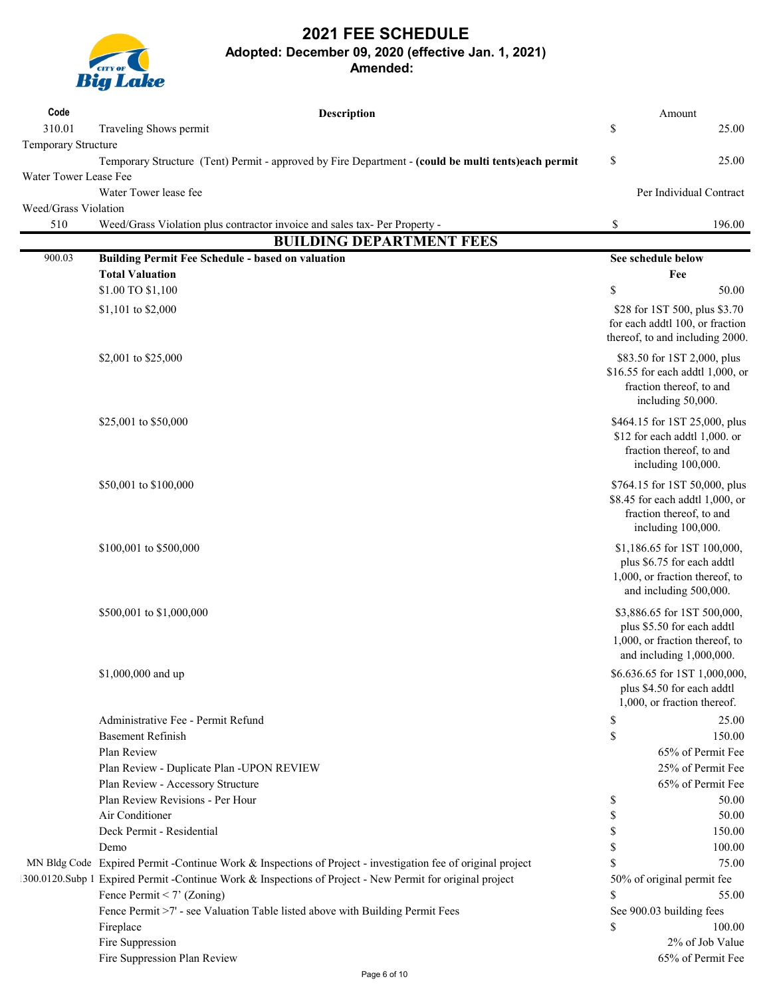

| Code                        | Description                                                                                                 |          | Amount                                                           |
|-----------------------------|-------------------------------------------------------------------------------------------------------------|----------|------------------------------------------------------------------|
| 310.01                      | Traveling Shows permit                                                                                      | $\$$     | 25.00                                                            |
| Temporary Structure         |                                                                                                             |          |                                                                  |
|                             | Temporary Structure (Tent) Permit - approved by Fire Department - (could be multi tents)each permit         | \$       | 25.00                                                            |
| Water Tower Lease Fee       |                                                                                                             |          |                                                                  |
|                             | Water Tower lease fee                                                                                       |          | Per Individual Contract                                          |
| Weed/Grass Violation<br>510 | Weed/Grass Violation plus contractor invoice and sales tax- Per Property -                                  | \$       | 196.00                                                           |
|                             | <b>BUILDING DEPARTMENT FEES</b>                                                                             |          |                                                                  |
| 900.03                      | <b>Building Permit Fee Schedule - based on valuation</b>                                                    |          | See schedule below                                               |
|                             | <b>Total Valuation</b>                                                                                      |          | Fee                                                              |
|                             | \$1.00 TO \$1,100                                                                                           | \$       | 50.00                                                            |
|                             | \$1,101 to \$2,000                                                                                          |          | \$28 for 1ST 500, plus \$3.70<br>for each addtl 100, or fraction |
|                             |                                                                                                             |          | thereof, to and including 2000.                                  |
|                             | \$2,001 to \$25,000                                                                                         |          | \$83.50 for 1ST 2,000, plus<br>\$16.55 for each addtl 1,000, or  |
|                             |                                                                                                             |          | fraction thereof, to and<br>including 50,000.                    |
|                             | \$25,001 to \$50,000                                                                                        |          | \$464.15 for 1ST 25,000, plus<br>\$12 for each addtl 1,000. or   |
|                             |                                                                                                             |          | fraction thereof, to and<br>including 100,000.                   |
|                             | \$50,001 to \$100,000                                                                                       |          | \$764.15 for 1ST 50,000, plus<br>\$8.45 for each addtl 1,000, or |
|                             |                                                                                                             |          | fraction thereof, to and<br>including 100,000.                   |
|                             | \$100,001 to \$500,000                                                                                      |          | \$1,186.65 for 1ST 100,000,<br>plus \$6.75 for each addtl        |
|                             |                                                                                                             |          | 1,000, or fraction thereof, to<br>and including 500,000.         |
|                             | \$500,001 to \$1,000,000                                                                                    |          | \$3,886.65 for 1ST 500,000,<br>plus \$5.50 for each addtl        |
|                             |                                                                                                             |          | 1,000, or fraction thereof, to<br>and including 1,000,000.       |
|                             | \$1,000,000 and up                                                                                          |          | \$6.636.65 for 1ST 1,000,000,                                    |
|                             |                                                                                                             |          | plus \$4.50 for each addtl<br>1,000, or fraction thereof.        |
|                             | Administrative Fee - Permit Refund                                                                          | \$       | 25.00                                                            |
|                             | <b>Basement Refinish</b>                                                                                    | $\$$     | 150.00                                                           |
|                             | Plan Review                                                                                                 |          | 65% of Permit Fee                                                |
|                             | Plan Review - Duplicate Plan -UPON REVIEW                                                                   |          | 25% of Permit Fee                                                |
|                             | Plan Review - Accessory Structure<br>Plan Review Revisions - Per Hour                                       |          | 65% of Permit Fee                                                |
|                             |                                                                                                             | \$       | 50.00                                                            |
|                             | Air Conditioner<br>Deck Permit - Residential                                                                | \$<br>\$ | 50.00<br>150.00                                                  |
|                             | Demo                                                                                                        | \$       | 100.00                                                           |
|                             | MN Bldg Code Expired Permit -Continue Work & Inspections of Project - investigation fee of original project | S        | 75.00                                                            |
|                             | 1300.0120.Subp 1 Expired Permit -Continue Work & Inspections of Project - New Permit for original project   |          | 50% of original permit fee                                       |
|                             | Fence Permit < 7' (Zoning)                                                                                  | \$       | 55.00                                                            |
|                             | Fence Permit >7' - see Valuation Table listed above with Building Permit Fees                               |          | See 900.03 building fees                                         |
|                             | Fireplace                                                                                                   | S        | 100.00                                                           |
|                             | Fire Suppression                                                                                            |          | 2% of Job Value                                                  |
|                             | Fire Suppression Plan Review                                                                                |          | 65% of Permit Fee                                                |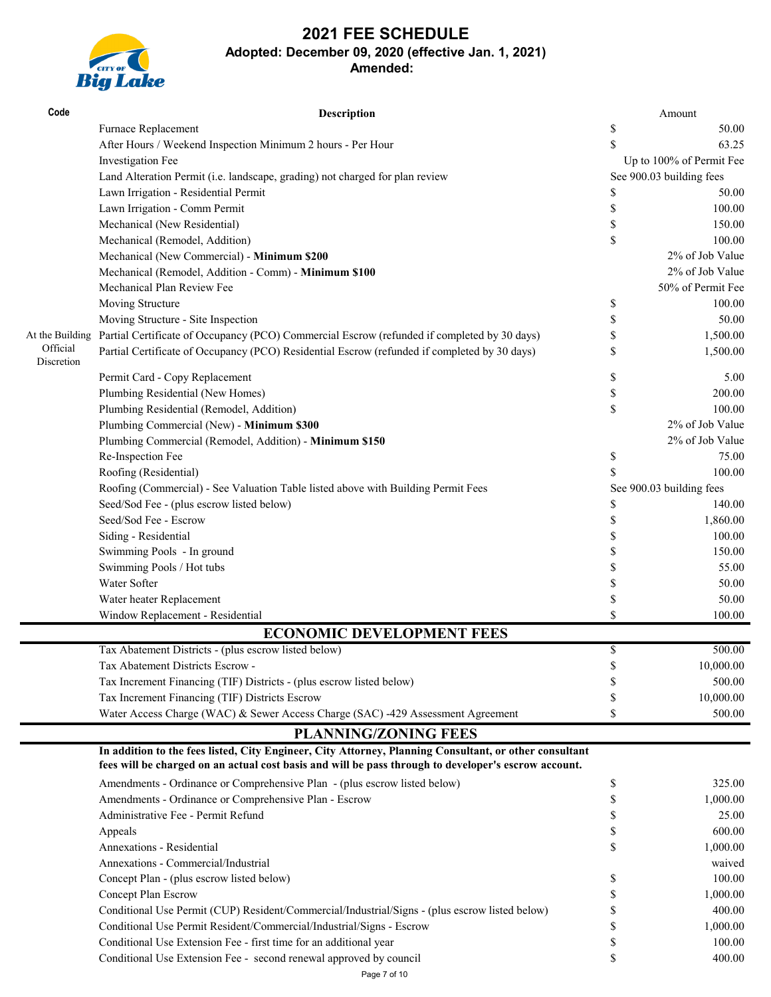# **Big Lake**

| Code                   | <b>Description</b>                                                                                                                                                                                             |      | Amount                   |
|------------------------|----------------------------------------------------------------------------------------------------------------------------------------------------------------------------------------------------------------|------|--------------------------|
|                        | Furnace Replacement                                                                                                                                                                                            | \$   | 50.00                    |
|                        | After Hours / Weekend Inspection Minimum 2 hours - Per Hour                                                                                                                                                    | \$   | 63.25                    |
|                        | Investigation Fee                                                                                                                                                                                              |      | Up to 100% of Permit Fee |
|                        | Land Alteration Permit (i.e. landscape, grading) not charged for plan review                                                                                                                                   |      | See 900.03 building fees |
|                        | Lawn Irrigation - Residential Permit                                                                                                                                                                           | \$   | 50.00                    |
|                        | Lawn Irrigation - Comm Permit                                                                                                                                                                                  | \$   | 100.00                   |
|                        | Mechanical (New Residential)                                                                                                                                                                                   | \$   | 150.00                   |
|                        | Mechanical (Remodel, Addition)                                                                                                                                                                                 | \$   | 100.00                   |
|                        | Mechanical (New Commercial) - Minimum \$200                                                                                                                                                                    |      | 2% of Job Value          |
|                        | Mechanical (Remodel, Addition - Comm) - Minimum \$100                                                                                                                                                          |      | 2% of Job Value          |
|                        | Mechanical Plan Review Fee                                                                                                                                                                                     |      | 50% of Permit Fee        |
|                        | Moving Structure                                                                                                                                                                                               | \$   | 100.00                   |
|                        | Moving Structure - Site Inspection                                                                                                                                                                             | \$   | 50.00                    |
| At the Building        | Partial Certificate of Occupancy (PCO) Commercial Escrow (refunded if completed by 30 days)                                                                                                                    | \$   | 1,500.00                 |
| Official<br>Discretion | Partial Certificate of Occupancy (PCO) Residential Escrow (refunded if completed by 30 days)                                                                                                                   | \$   | 1,500.00                 |
|                        | Permit Card - Copy Replacement                                                                                                                                                                                 | \$   | 5.00                     |
|                        | Plumbing Residential (New Homes)                                                                                                                                                                               | \$   | 200.00                   |
|                        | Plumbing Residential (Remodel, Addition)                                                                                                                                                                       | \$   | 100.00                   |
|                        | Plumbing Commercial (New) - Minimum \$300                                                                                                                                                                      |      | 2% of Job Value          |
|                        | Plumbing Commercial (Remodel, Addition) - Minimum \$150                                                                                                                                                        |      | 2% of Job Value          |
|                        | Re-Inspection Fee                                                                                                                                                                                              | \$   | 75.00                    |
|                        | Roofing (Residential)                                                                                                                                                                                          | \$   | 100.00                   |
|                        | Roofing (Commercial) - See Valuation Table listed above with Building Permit Fees                                                                                                                              |      | See 900.03 building fees |
|                        | Seed/Sod Fee - (plus escrow listed below)                                                                                                                                                                      | \$   | 140.00                   |
|                        | Seed/Sod Fee - Escrow                                                                                                                                                                                          | \$   | 1,860.00                 |
|                        | Siding - Residential                                                                                                                                                                                           | \$   | 100.00                   |
|                        | Swimming Pools - In ground                                                                                                                                                                                     | \$   | 150.00                   |
|                        | Swimming Pools / Hot tubs                                                                                                                                                                                      | \$   | 55.00                    |
|                        | Water Softer                                                                                                                                                                                                   | \$   | 50.00                    |
|                        | Water heater Replacement                                                                                                                                                                                       | \$   | 50.00                    |
|                        | Window Replacement - Residential                                                                                                                                                                               | \$   | 100.00                   |
|                        | <b>ECONOMIC DEVELOPMENT FEES</b>                                                                                                                                                                               |      |                          |
|                        | Tax Abatement Districts - (plus escrow listed below)                                                                                                                                                           | $\$$ | 500.00                   |
|                        | Tax Abatement Districts Escrow -                                                                                                                                                                               | \$   | 10,000.00                |
|                        | Tax Increment Financing (TIF) Districts - (plus escrow listed below)                                                                                                                                           | S    | 500.00                   |
|                        | Tax Increment Financing (TIF) Districts Escrow                                                                                                                                                                 | S    | 10,000.00                |
|                        | Water Access Charge (WAC) & Sewer Access Charge (SAC) -429 Assessment Agreement                                                                                                                                | \$   | 500.00                   |
|                        | <b>PLANNING/ZONING FEES</b>                                                                                                                                                                                    |      |                          |
|                        | In addition to the fees listed, City Engineer, City Attorney, Planning Consultant, or other consultant<br>fees will be charged on an actual cost basis and will be pass through to developer's escrow account. |      |                          |
|                        | Amendments - Ordinance or Comprehensive Plan - (plus escrow listed below)                                                                                                                                      | \$   | 325.00                   |
|                        | Amendments - Ordinance or Comprehensive Plan - Escrow                                                                                                                                                          | \$   | 1,000.00                 |
|                        | Administrative Fee - Permit Refund                                                                                                                                                                             | \$   | 25.00                    |
|                        | Appeals                                                                                                                                                                                                        | \$   | 600.00                   |
|                        | Annexations - Residential                                                                                                                                                                                      | \$   | 1,000.00                 |
|                        | Annexations - Commercial/Industrial                                                                                                                                                                            |      | waived                   |
|                        | Concept Plan - (plus escrow listed below)                                                                                                                                                                      | S    | 100.00                   |
|                        | Concept Plan Escrow                                                                                                                                                                                            | S    | 1,000.00                 |
|                        | Conditional Use Permit (CUP) Resident/Commercial/Industrial/Signs - (plus escrow listed below)                                                                                                                 | S    | 400.00                   |
|                        | Conditional Use Permit Resident/Commercial/Industrial/Signs - Escrow                                                                                                                                           | \$   | 1,000.00                 |
|                        | Conditional Use Extension Fee - first time for an additional year                                                                                                                                              | \$   | 100.00                   |
|                        | Conditional Use Extension Fee - second renewal approved by council                                                                                                                                             | \$   | 400.00                   |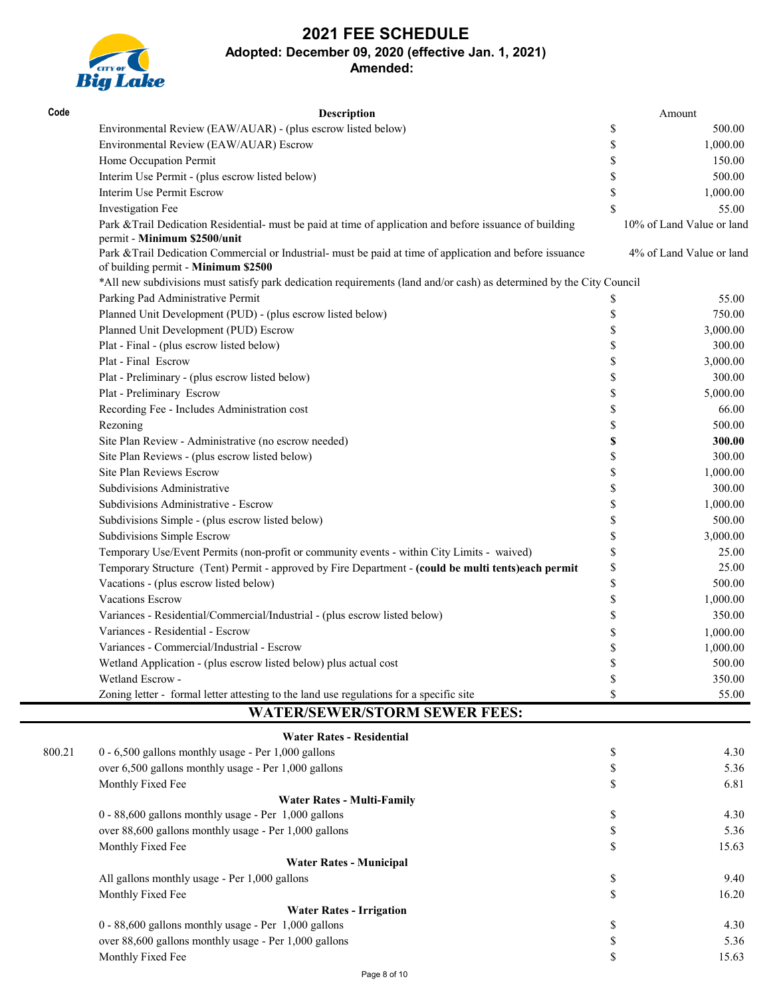

| Code   | Description                                                                                                                                      | Amount                    |
|--------|--------------------------------------------------------------------------------------------------------------------------------------------------|---------------------------|
|        | Environmental Review (EAW/AUAR) - (plus escrow listed below)                                                                                     | \$<br>500.00              |
|        | Environmental Review (EAW/AUAR) Escrow                                                                                                           | \$<br>1,000.00            |
|        | Home Occupation Permit                                                                                                                           | \$<br>150.00              |
|        | Interim Use Permit - (plus escrow listed below)                                                                                                  | \$<br>500.00              |
|        | Interim Use Permit Escrow                                                                                                                        | \$<br>1,000.00            |
|        | Investigation Fee                                                                                                                                | \$<br>55.00               |
|        | Park & Trail Dedication Residential- must be paid at time of application and before issuance of building<br>permit - Minimum \$2500/unit         | 10% of Land Value or land |
|        | Park & Trail Dedication Commercial or Industrial- must be paid at time of application and before issuance<br>of building permit - Minimum \$2500 | 4% of Land Value or land  |
|        | *All new subdivisions must satisfy park dedication requirements (land and/or cash) as determined by the City Council                             |                           |
|        | Parking Pad Administrative Permit                                                                                                                | \$<br>55.00               |
|        | Planned Unit Development (PUD) - (plus escrow listed below)                                                                                      | \$<br>750.00              |
|        | Planned Unit Development (PUD) Escrow                                                                                                            | \$<br>3,000.00            |
|        | Plat - Final - (plus escrow listed below)                                                                                                        | \$<br>300.00              |
|        | Plat - Final Escrow                                                                                                                              | \$<br>3,000.00            |
|        | Plat - Preliminary - (plus escrow listed below)                                                                                                  | \$<br>300.00              |
|        | Plat - Preliminary Escrow                                                                                                                        | \$<br>5,000.00            |
|        | Recording Fee - Includes Administration cost                                                                                                     | \$<br>66.00               |
|        | Rezoning                                                                                                                                         | \$<br>500.00              |
|        | Site Plan Review - Administrative (no escrow needed)                                                                                             | \$<br>300.00              |
|        | Site Plan Reviews - (plus escrow listed below)                                                                                                   | \$<br>300.00              |
|        | Site Plan Reviews Escrow                                                                                                                         | \$<br>1,000.00            |
|        | Subdivisions Administrative                                                                                                                      | \$<br>300.00              |
|        | Subdivisions Administrative - Escrow                                                                                                             | \$<br>1,000.00            |
|        | Subdivisions Simple - (plus escrow listed below)                                                                                                 | \$<br>500.00              |
|        | Subdivisions Simple Escrow                                                                                                                       | \$<br>3,000.00            |
|        | Temporary Use/Event Permits (non-profit or community events - within City Limits - waived)                                                       | \$<br>25.00               |
|        | Temporary Structure (Tent) Permit - approved by Fire Department - (could be multi tents)each permit                                              | \$<br>25.00               |
|        | Vacations - (plus escrow listed below)                                                                                                           | \$<br>500.00              |
|        | Vacations Escrow                                                                                                                                 | \$<br>1,000.00            |
|        | Variances - Residential/Commercial/Industrial - (plus escrow listed below)                                                                       | \$<br>350.00              |
|        | Variances - Residential - Escrow                                                                                                                 | \$<br>1,000.00            |
|        | Variances - Commercial/Industrial - Escrow                                                                                                       | \$<br>1,000.00            |
|        | Wetland Application - (plus escrow listed below) plus actual cost                                                                                | \$<br>500.00              |
|        | Wetland Escrow -                                                                                                                                 | \$<br>350.00              |
|        | Zoning letter - formal letter attesting to the land use regulations for a specific site                                                          | \$<br>55.00               |
|        | <b>WATER/SEWER/STORM SEWER FEES:</b>                                                                                                             |                           |
|        | <b>Water Rates - Residential</b>                                                                                                                 |                           |
| 800.21 | 0 - 6,500 gallons monthly usage - Per 1,000 gallons                                                                                              | \$<br>4.30                |
|        | over 6,500 gallons monthly usage - Per 1,000 gallons                                                                                             | \$<br>5.36                |
|        | Monthly Fixed Fee                                                                                                                                | \$<br>6.81                |
|        | <b>Water Rates - Multi-Family</b>                                                                                                                |                           |
|        | 0 - 88,600 gallons monthly usage - Per 1,000 gallons                                                                                             | \$<br>4.30                |
|        | over 88,600 gallons monthly usage - Per 1,000 gallons                                                                                            | \$<br>5.36                |
|        | Monthly Fixed Fee                                                                                                                                | \$<br>15.63               |
|        | <b>Water Rates - Municipal</b>                                                                                                                   |                           |
|        | All gallons monthly usage - Per 1,000 gallons                                                                                                    | \$<br>9.40                |
|        | Monthly Fixed Fee                                                                                                                                | \$<br>16.20               |
|        | <b>Water Rates - Irrigation</b>                                                                                                                  |                           |
|        | 0 - 88,600 gallons monthly usage - Per 1,000 gallons                                                                                             | \$<br>4.30                |
|        | over 88,600 gallons monthly usage - Per 1,000 gallons                                                                                            | \$<br>5.36                |
|        | Monthly Fixed Fee                                                                                                                                | \$<br>15.63               |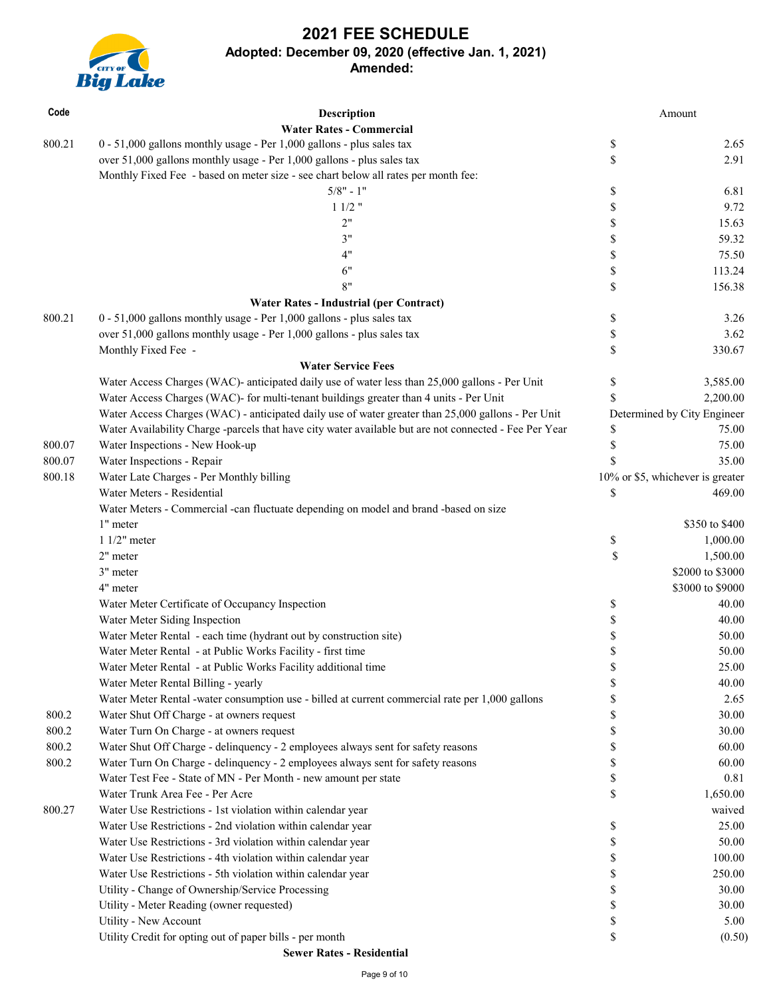

| Code   | Description                                                                                            |                                                                       | Amount                           |
|--------|--------------------------------------------------------------------------------------------------------|-----------------------------------------------------------------------|----------------------------------|
| 800.21 | <b>Water Rates - Commercial</b>                                                                        |                                                                       |                                  |
|        | 0 - 51,000 gallons monthly usage - Per 1,000 gallons - plus sales tax                                  | \$                                                                    | 2.65                             |
|        | over 51,000 gallons monthly usage - Per 1,000 gallons - plus sales tax                                 | \$                                                                    | 2.91                             |
|        | Monthly Fixed Fee - based on meter size - see chart below all rates per month fee:                     |                                                                       |                                  |
|        | $5/8" - 1"$                                                                                            | \$                                                                    | 6.81                             |
|        | $11/2$ "                                                                                               | \$                                                                    | 9.72                             |
|        | 2"                                                                                                     | \$                                                                    | 15.63                            |
|        | 3"                                                                                                     | \$                                                                    | 59.32                            |
|        | 4"                                                                                                     | \$                                                                    | 75.50                            |
|        | 6"                                                                                                     | $\mathbb{S}% _{t}\left( t\right) \equiv\mathbb{S}_{t}\left( t\right)$ | 113.24                           |
|        | 8"                                                                                                     | \$                                                                    | 156.38                           |
|        | <b>Water Rates - Industrial (per Contract)</b>                                                         |                                                                       |                                  |
| 800.21 | 0 - 51,000 gallons monthly usage - Per 1,000 gallons - plus sales tax                                  | \$                                                                    | 3.26                             |
|        | over 51,000 gallons monthly usage - Per 1,000 gallons - plus sales tax                                 | \$                                                                    | 3.62                             |
|        | Monthly Fixed Fee -                                                                                    | \$                                                                    | 330.67                           |
|        | <b>Water Service Fees</b>                                                                              |                                                                       |                                  |
|        | Water Access Charges (WAC)- anticipated daily use of water less than 25,000 gallons - Per Unit         | \$                                                                    | 3,585.00                         |
|        | Water Access Charges (WAC)- for multi-tenant buildings greater than 4 units - Per Unit                 | \$                                                                    | 2,200.00                         |
|        | Water Access Charges (WAC) - anticipated daily use of water greater than 25,000 gallons - Per Unit     |                                                                       | Determined by City Engineer      |
|        | Water Availability Charge -parcels that have city water available but are not connected - Fee Per Year | \$                                                                    | 75.00                            |
| 800.07 | Water Inspections - New Hook-up                                                                        | \$                                                                    | 75.00                            |
| 800.07 | Water Inspections - Repair                                                                             | <sup>\$</sup>                                                         | 35.00                            |
| 800.18 | Water Late Charges - Per Monthly billing                                                               |                                                                       | 10% or \$5, whichever is greater |
|        | Water Meters - Residential                                                                             | \$                                                                    | 469.00                           |
|        | Water Meters - Commercial -can fluctuate depending on model and brand -based on size                   |                                                                       |                                  |
|        | 1" meter                                                                                               |                                                                       | \$350 to \$400                   |
|        | $11/2"$ meter                                                                                          | \$                                                                    | 1,000.00                         |
|        | 2" meter                                                                                               | \$                                                                    | 1,500.00                         |
|        | 3" meter                                                                                               |                                                                       | \$2000 to \$3000                 |
|        | 4" meter                                                                                               |                                                                       | \$3000 to \$9000                 |
|        | Water Meter Certificate of Occupancy Inspection                                                        | \$                                                                    | 40.00                            |
|        | Water Meter Siding Inspection                                                                          | \$                                                                    | 40.00                            |
|        | Water Meter Rental - each time (hydrant out by construction site)                                      | \$                                                                    | 50.00                            |
|        | Water Meter Rental - at Public Works Facility - first time                                             | \$                                                                    | 50.00                            |
|        | Water Meter Rental - at Public Works Facility additional time                                          | \$                                                                    | 25.00                            |
|        | Water Meter Rental Billing - yearly                                                                    | \$                                                                    | 40.00                            |
|        | Water Meter Rental -water consumption use - billed at current commercial rate per 1,000 gallons        | \$                                                                    | 2.65                             |
| 800.2  | Water Shut Off Charge - at owners request                                                              | \$                                                                    | 30.00                            |
| 800.2  | Water Turn On Charge - at owners request                                                               | \$                                                                    | 30.00                            |
| 800.2  | Water Shut Off Charge - delinquency - 2 employees always sent for safety reasons                       | \$                                                                    | 60.00                            |
| 800.2  | Water Turn On Charge - delinquency - 2 employees always sent for safety reasons                        | \$                                                                    | 60.00                            |
|        | Water Test Fee - State of MN - Per Month - new amount per state                                        | \$                                                                    | 0.81                             |
|        | Water Trunk Area Fee - Per Acre                                                                        | \$                                                                    | 1,650.00                         |
| 800.27 | Water Use Restrictions - 1st violation within calendar year                                            |                                                                       | waived                           |
|        | Water Use Restrictions - 2nd violation within calendar year                                            | \$                                                                    | 25.00                            |
|        | Water Use Restrictions - 3rd violation within calendar year                                            | \$                                                                    | 50.00                            |
|        | Water Use Restrictions - 4th violation within calendar year                                            | \$                                                                    | 100.00                           |
|        | Water Use Restrictions - 5th violation within calendar year                                            | \$                                                                    | 250.00                           |
|        | Utility - Change of Ownership/Service Processing                                                       | \$                                                                    | 30.00                            |
|        | Utility - Meter Reading (owner requested)                                                              | \$                                                                    | 30.00                            |
|        | Utility - New Account                                                                                  | \$                                                                    | 5.00                             |
|        | Utility Credit for opting out of paper bills - per month                                               | \$                                                                    | (0.50)                           |
|        | <b>Sewer Rates - Residential</b>                                                                       |                                                                       |                                  |